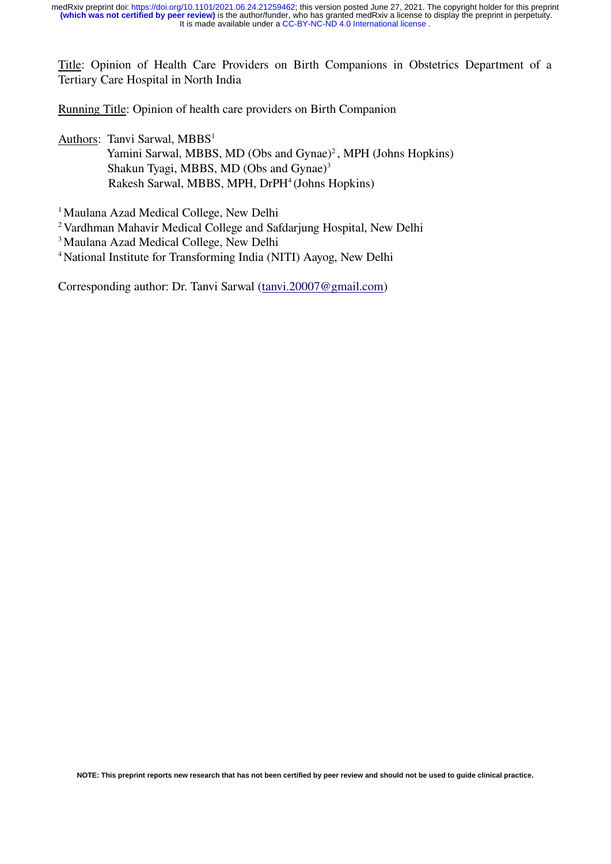Title: Opinion of Health Care Providers on Birth Companions in Obstetrics Department of a Tertiary Care Hospital in North India

Running Title: Opinion of health care providers on Birth Companion

Authors: Tanvi Sarwal, MBBS<sup>1</sup> Yamini Sarwal, MBBS, MD (Obs and Gynae)<sup>2</sup>, MPH (Johns Hopkins) Shakun Tyagi, MBBS, MD (Obs and Gynae)<sup>3</sup>

Rakesh Sarwal, MBBS, MPH, DrPH<sup>4</sup>(Johns Hopkins)

<sup>1</sup> Maulana Azad Medical College, New Delhi

<sup>2</sup> Vardhman Mahavir Medical College and Safdarjung Hospital, New Delhi

<sup>3</sup> Maulana Azad Medical College, New Delhi

<sup>4</sup>National Institute for Transforming India (NITI) Aayog, New Delhi

Corresponding author: Dr. Tanvi Sarwal [\(tanvi.20007@gmail.com\)](mailto:tanvi.20007@gmail.com)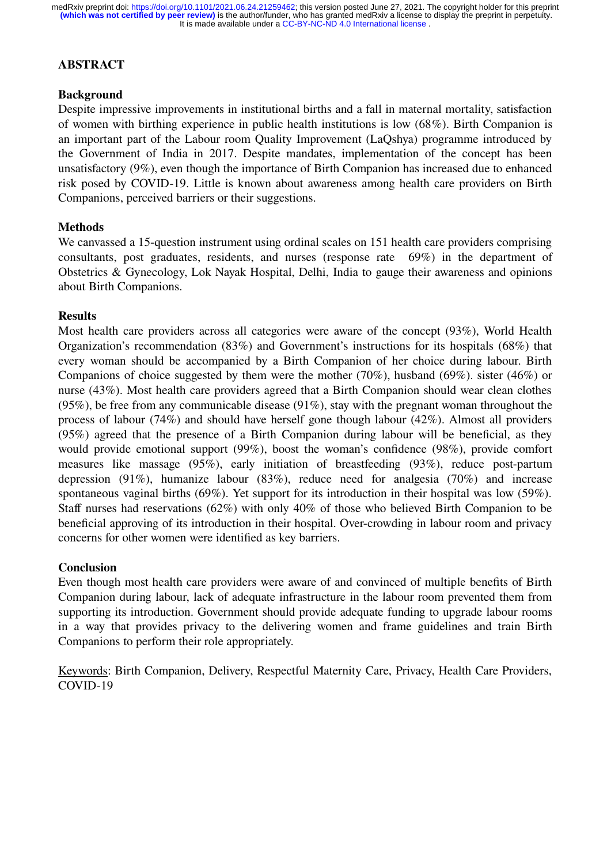# **ABSTRACT**

## **Background**

Despite impressive improvements in institutional births and a fall in maternal mortality, satisfaction of women with birthing experience in public health institutions is low (68%). Birth Companion is an important part of the Labour room Quality Improvement (LaQshya) programme introduced by the Government of India in 2017. Despite mandates, implementation of the concept has been unsatisfactory (9%), even though the importance of Birth Companion has increased due to enhanced risk posed by COVID-19. Little is known about awareness among health care providers on Birth Companions, perceived barriers or their suggestions.

## **Methods**

We canvassed a 15-question instrument using ordinal scales on 151 health care providers comprising consultants, post graduates, residents, and nurses (response rate 69%) in the department of Obstetrics & Gynecology, Lok Nayak Hospital, Delhi, India to gauge their awareness and opinions about Birth Companions.

#### **Results**

Most health care providers across all categories were aware of the concept (93%), World Health Organization's recommendation (83%) and Government's instructions for its hospitals (68%) that every woman should be accompanied by a Birth Companion of her choice during labour. Birth Companions of choice suggested by them were the mother (70%), husband (69%). sister (46%) or nurse (43%). Most health care providers agreed that a Birth Companion should wear clean clothes (95%), be free from any communicable disease (91%), stay with the pregnant woman throughout the process of labour (74%) and should have herself gone though labour (42%). Almost all providers (95%) agreed that the presence of a Birth Companion during labour will be beneficial, as they would provide emotional support (99%), boost the woman's confidence (98%), provide comfort measures like massage (95%), early initiation of breastfeeding (93%), reduce post-partum depression (91%), humanize labour (83%), reduce need for analgesia (70%) and increase spontaneous vaginal births (69%). Yet support for its introduction in their hospital was low (59%). Staff nurses had reservations (62%) with only 40% of those who believed Birth Companion to be beneficial approving of its introduction in their hospital. Over-crowding in labour room and privacy concerns for other women were identified as key barriers.

#### **Conclusion**

Even though most health care providers were aware of and convinced of multiple benefits of Birth Companion during labour, lack of adequate infrastructure in the labour room prevented them from supporting its introduction. Government should provide adequate funding to upgrade labour rooms in a way that provides privacy to the delivering women and frame guidelines and train Birth Companions to perform their role appropriately.

Keywords: Birth Companion, Delivery, Respectful Maternity Care, Privacy, Health Care Providers, COVID-19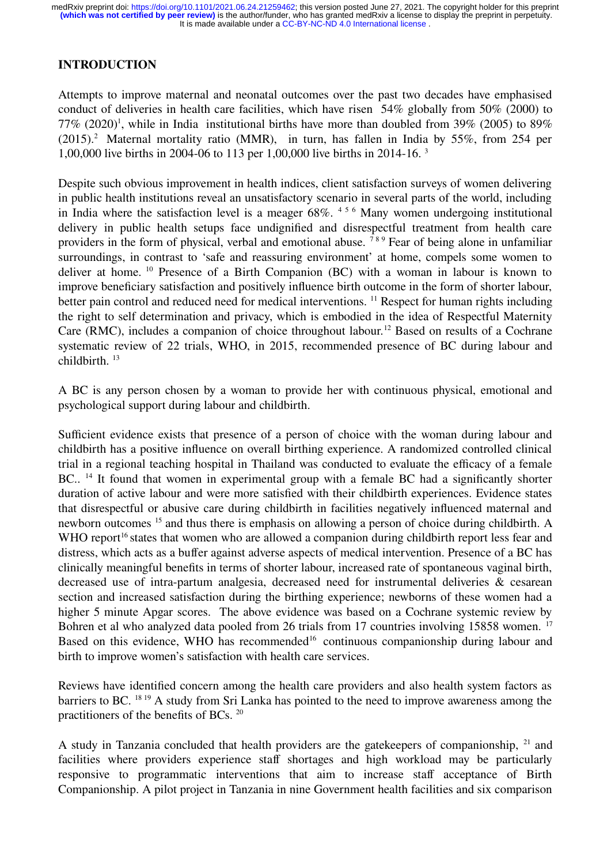# **INTRODUCTION**

Attempts to improve maternal and neonatal outcomes over the past two decades have emphasised conduct of deliveries in health care facilities, which have risen 54% globally from 50% (2000) to 77%  $(2020)^1$ , while in India institutional births have more than doubled from 39%  $(2005)$  to 89%  $(2015).<sup>2</sup>$  Maternal mortality ratio (MMR), in turn, has fallen in India by 55%, from 254 per 1,00,000 live births in 2004-06 to 113 per 1,00,000 live births in 2014-16. <sup>3</sup>

Despite such obvious improvement in health indices, client satisfaction surveys of women delivering in public health institutions reveal an unsatisfactory scenario in several parts of the world, including in India where the satisfaction level is a meager 68%. <sup>4</sup> <sup>5</sup> <sup>6</sup> Many women undergoing institutional delivery in public health setups face undignified and disrespectful treatment from health care providers in the form of physical, verbal and emotional abuse.<sup>789</sup> Fear of being alone in unfamiliar surroundings, in contrast to 'safe and reassuring environment' at home, compels some women to deliver at home. <sup>10</sup> Presence of a Birth Companion (BC) with a woman in labour is known to improve beneficiary satisfaction and positively influence birth outcome in the form of shorter labour, better pain control and reduced need for medical interventions. <sup>11</sup> Respect for human rights including the right to self determination and privacy, which is embodied in the idea of Respectful Maternity Care (RMC), includes a companion of choice throughout labour.<sup>12</sup> Based on results of a Cochrane systematic review of 22 trials, WHO, in 2015, recommended presence of BC during labour and childbirth.<sup>13</sup>

A BC is any person chosen by a woman to provide her with continuous physical, emotional and psychological support during labour and childbirth.

Sufficient evidence exists that presence of a person of choice with the woman during labour and childbirth has a positive influence on overall birthing experience. A randomized controlled clinical trial in a regional teaching hospital in Thailand was conducted to evaluate the efficacy of a female BC..<sup>14</sup> It found that women in experimental group with a female BC had a significantly shorter duration of active labour and were more satisfied with their childbirth experiences. Evidence states that disrespectful or abusive care during childbirth in facilities negatively influenced maternal and newborn outcomes <sup>15</sup> and thus there is emphasis on allowing a person of choice during childbirth. A WHO report<sup>16</sup> states that women who are allowed a companion during childbirth report less fear and distress, which acts as a buffer against adverse aspects of medical intervention. Presence of a BC has clinically meaningful benefits in terms of shorter labour, increased rate of spontaneous vaginal birth, decreased use of intra-partum analgesia, decreased need for instrumental deliveries & cesarean section and increased satisfaction during the birthing experience; newborns of these women had a higher 5 minute Apgar scores. The above evidence was based on a Cochrane systemic review by Bohren et al who analyzed data pooled from 26 trials from 17 countries involving 15858 women. <sup>17</sup> Based on this evidence, WHO has recommended<sup>16</sup> continuous companionship during labour and birth to improve women's satisfaction with health care services.

Reviews have identified concern among the health care providers and also health system factors as barriers to BC. <sup>18</sup> <sup>19</sup> A study from Sri Lanka has pointed to the need to improve awareness among the practitioners of the benefits of BCs. <sup>20</sup>

A study in Tanzania concluded that health providers are the gatekeepers of companionship,  $21$  and facilities where providers experience staff shortages and high workload may be particularly responsive to programmatic interventions that aim to increase staff acceptance of Birth Companionship. A pilot project in Tanzania in nine Government health facilities and six comparison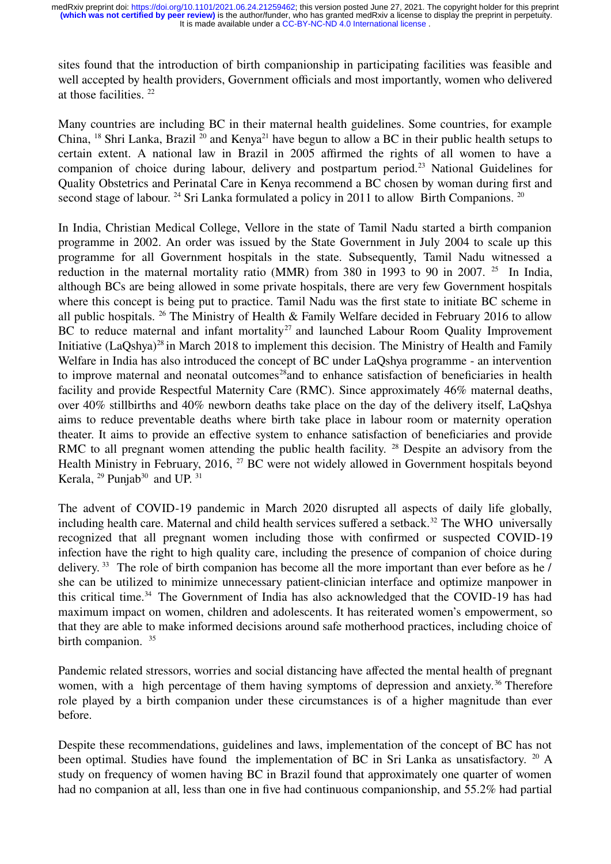sites found that the introduction of birth companionship in participating facilities was feasible and well accepted by health providers, Government officials and most importantly, women who delivered at those facilities. <sup>22</sup>

Many countries are including BC in their maternal health guidelines. Some countries, for example China, <sup>18</sup> Shri Lanka, Brazil<sup>20</sup> and Kenya<sup>21</sup> have begun to allow a BC in their public health setups to certain extent. A national law in Brazil in 2005 affirmed the rights of all women to have a companion of choice during labour, delivery and postpartum period.<sup>23</sup> National Guidelines for Quality Obstetrics and Perinatal Care in Kenya recommend a BC chosen by woman during first and second stage of labour. <sup>24</sup> Sri Lanka formulated a policy in 2011 to allow Birth Companions. <sup>20</sup>

In India, Christian Medical College, Vellore in the state of Tamil Nadu started a birth companion programme in 2002. An order was issued by the State Government in July 2004 to scale up this programme for all Government hospitals in the state. Subsequently, Tamil Nadu witnessed a reduction in the maternal mortality ratio (MMR) from 380 in 1993 to 90 in 2007. <sup>25</sup> In India, although BCs are being allowed in some private hospitals, there are very few Government hospitals where this concept is being put to practice. Tamil Nadu was the first state to initiate BC scheme in all public hospitals. <sup>26</sup> The Ministry of Health & Family Welfare decided in February 2016 to allow BC to reduce maternal and infant mortality<sup>27</sup> and launched Labour Room Quality Improvement Initiative (LaQshya)<sup>28</sup> in March 2018 to implement this decision. The Ministry of Health and Family Welfare in India has also introduced the concept of BC under LaQshya programme - an intervention to improve maternal and neonatal outcomes<sup>28</sup>and to enhance satisfaction of beneficiaries in health facility and provide Respectful Maternity Care (RMC). Since approximately 46% maternal deaths, over 40% stillbirths and 40% newborn deaths take place on the day of the delivery itself, LaQshya aims to reduce preventable deaths where birth take place in labour room or maternity operation theater. It aims to provide an effective system to enhance satisfaction of beneficiaries and provide RMC to all pregnant women attending the public health facility. <sup>28</sup> Despite an advisory from the Health Ministry in February, 2016, <sup>27</sup> BC were not widely allowed in Government hospitals beyond Kerala,  $^{29}$  Punjab<sup>30</sup> and UP.  $^{31}$ 

The advent of COVID-19 pandemic in March 2020 disrupted all aspects of daily life globally, including health care. Maternal and child health services suffered a setback.<sup>32</sup> The WHO universally recognized that all pregnant women including those with confirmed or suspected COVID-19 infection have the right to high quality care, including the presence of companion of choice during delivery.<sup>33</sup> The role of birth companion has become all the more important than ever before as he  $/$ she can be utilized to minimize unnecessary patient-clinician interface and optimize manpower in this critical time.<sup>34</sup> The Government of India has also acknowledged that the COVID-19 has had maximum impact on women, children and adolescents. It has reiterated women's empowerment, so that they are able to make informed decisions around safe motherhood practices, including choice of birth companion. <sup>35</sup>

Pandemic related stressors, worries and social distancing have affected the mental health of pregnant women, with a high percentage of them having symptoms of depression and anxiety.<sup>36</sup> Therefore role played by a birth companion under these circumstances is of a higher magnitude than ever before.

Despite these recommendations, guidelines and laws, implementation of the concept of BC has not been optimal. Studies have found the implementation of BC in Sri Lanka as unsatisfactory. <sup>20</sup> A study on frequency of women having BC in Brazil found that approximately one quarter of women had no companion at all, less than one in five had continuous companionship, and 55.2% had partial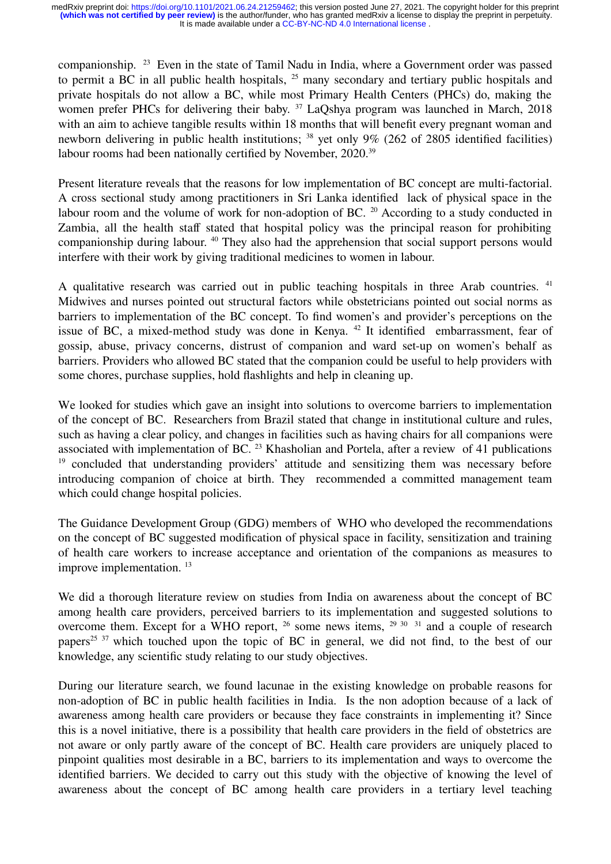companionship. <sup>23</sup> Even in the state of Tamil Nadu in India, where a Government order was passed to permit a BC in all public health hospitals, <sup>25</sup> many secondary and tertiary public hospitals and private hospitals do not allow a BC, while most Primary Health Centers (PHCs) do, making the women prefer PHCs for delivering their baby.<sup>37</sup> LaQshya program was launched in March, 2018 with an aim to achieve tangible results within 18 months that will benefit every pregnant woman and newborn delivering in public health institutions; <sup>38</sup> yet only 9% (262 of 2805 identified facilities) labour rooms had been nationally certified by November, 2020.<sup>39</sup>

Present literature reveals that the reasons for low implementation of BC concept are multi-factorial. A cross sectional study among practitioners in Sri Lanka identified lack of physical space in the labour room and the volume of work for non-adoption of BC. <sup>20</sup> According to a study conducted in Zambia, all the health staff stated that hospital policy was the principal reason for prohibiting companionship during labour. <sup>40</sup> They also had the apprehension that social support persons would interfere with their work by giving traditional medicines to women in labour.

A qualitative research was carried out in public teaching hospitals in three Arab countries. <sup>41</sup> Midwives and nurses pointed out structural factors while obstetricians pointed out social norms as barriers to implementation of the BC concept. To find women's and provider's perceptions on the issue of BC, a mixed-method study was done in Kenya. <sup>42</sup> It identified embarrassment, fear of gossip, abuse, privacy concerns, distrust of companion and ward set-up on women's behalf as barriers. Providers who allowed BC stated that the companion could be useful to help providers with some chores, purchase supplies, hold flashlights and help in cleaning up.

We looked for studies which gave an insight into solutions to overcome barriers to implementation of the concept of BC. Researchers from Brazil stated that change in institutional culture and rules, such as having a clear policy, and changes in facilities such as having chairs for all companions were associated with implementation of BC. <sup>23</sup> Khasholian and Portela, after a review of 41 publications <sup>19</sup> concluded that understanding providers' attitude and sensitizing them was necessary before introducing companion of choice at birth. They recommended a committed management team which could change hospital policies.

The Guidance Development Group (GDG) members of WHO who developed the recommendations on the concept of BC suggested modification of physical space in facility, sensitization and training of health care workers to increase acceptance and orientation of the companions as measures to improve implementation.<sup>13</sup>

We did a thorough literature review on studies from India on awareness about the concept of BC among health care providers, perceived barriers to its implementation and suggested solutions to overcome them. Except for a WHO report,  $^{26}$  some news items,  $^{29}$   $^{30}$   $^{31}$  and a couple of research papers<sup>25 37</sup> which touched upon the topic of BC in general, we did not find, to the best of our knowledge, any scientific study relating to our study objectives.

During our literature search, we found lacunae in the existing knowledge on probable reasons for non-adoption of BC in public health facilities in India. Is the non adoption because of a lack of awareness among health care providers or because they face constraints in implementing it? Since this is a novel initiative, there is a possibility that health care providers in the field of obstetrics are not aware or only partly aware of the concept of BC. Health care providers are uniquely placed to pinpoint qualities most desirable in a BC, barriers to its implementation and ways to overcome the identified barriers. We decided to carry out this study with the objective of knowing the level of awareness about the concept of BC among health care providers in a tertiary level teaching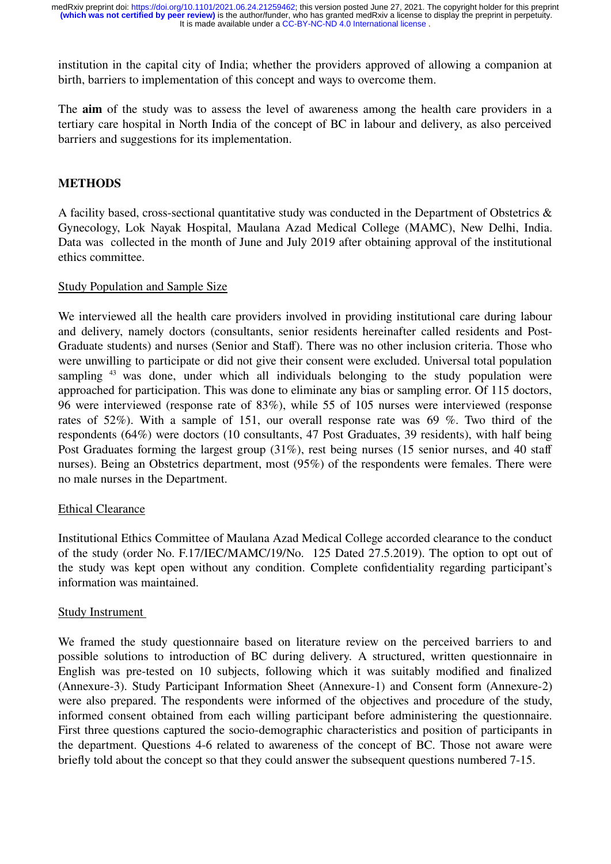institution in the capital city of India; whether the providers approved of allowing a companion at birth, barriers to implementation of this concept and ways to overcome them.

The **aim** of the study was to assess the level of awareness among the health care providers in a tertiary care hospital in North India of the concept of BC in labour and delivery, as also perceived barriers and suggestions for its implementation.

## **METHODS**

A facility based, cross-sectional quantitative study was conducted in the Department of Obstetrics & Gynecology, Lok Nayak Hospital, Maulana Azad Medical College (MAMC), New Delhi, India. Data was collected in the month of June and July 2019 after obtaining approval of the institutional ethics committee.

#### Study Population and Sample Size

We interviewed all the health care providers involved in providing institutional care during labour and delivery, namely doctors (consultants, senior residents hereinafter called residents and Post-Graduate students) and nurses (Senior and Staff). There was no other inclusion criteria. Those who were unwilling to participate or did not give their consent were excluded. Universal total population sampling <sup>43</sup> was done, under which all individuals belonging to the study population were approached for participation. This was done to eliminate any bias or sampling error. Of 115 doctors, 96 were interviewed (response rate of 83%), while 55 of 105 nurses were interviewed (response rates of 52%). With a sample of 151, our overall response rate was 69 %. Two third of the respondents (64%) were doctors (10 consultants, 47 Post Graduates, 39 residents), with half being Post Graduates forming the largest group (31%), rest being nurses (15 senior nurses, and 40 staff nurses). Being an Obstetrics department, most (95%) of the respondents were females. There were no male nurses in the Department.

#### Ethical Clearance

Institutional Ethics Committee of Maulana Azad Medical College accorded clearance to the conduct of the study (order No. F.17/IEC/MAMC/19/No. 125 Dated 27.5.2019). The option to opt out of the study was kept open without any condition. Complete confidentiality regarding participant's information was maintained.

#### Study Instrument

We framed the study questionnaire based on literature review on the perceived barriers to and possible solutions to introduction of BC during delivery. A structured, written questionnaire in English was pre-tested on 10 subjects, following which it was suitably modified and finalized (Annexure-3). Study Participant Information Sheet (Annexure-1) and Consent form (Annexure-2) were also prepared. The respondents were informed of the objectives and procedure of the study, informed consent obtained from each willing participant before administering the questionnaire. First three questions captured the socio-demographic characteristics and position of participants in the department. Questions 4-6 related to awareness of the concept of BC. Those not aware were briefly told about the concept so that they could answer the subsequent questions numbered 7-15.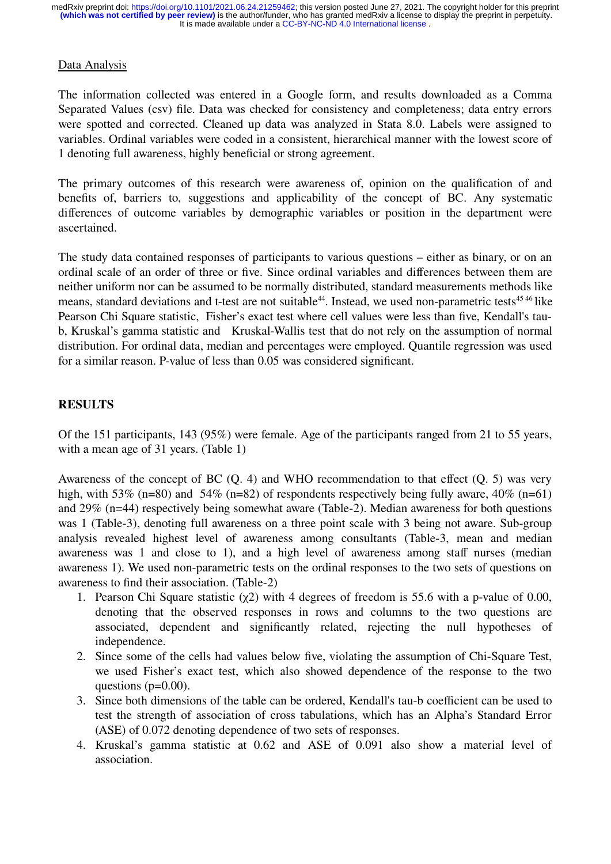## Data Analysis

The information collected was entered in a Google form, and results downloaded as a Comma Separated Values (csv) file. Data was checked for consistency and completeness; data entry errors were spotted and corrected. Cleaned up data was analyzed in Stata 8.0. Labels were assigned to variables. Ordinal variables were coded in a consistent, hierarchical manner with the lowest score of 1 denoting full awareness, highly beneficial or strong agreement.

The primary outcomes of this research were awareness of, opinion on the qualification of and benefits of, barriers to, suggestions and applicability of the concept of BC. Any systematic differences of outcome variables by demographic variables or position in the department were ascertained.

The study data contained responses of participants to various questions – either as binary, or on an ordinal scale of an order of three or five. Since ordinal variables and differences between them are neither uniform nor can be assumed to be normally distributed, standard measurements methods like means, standard deviations and t-test are not suitable<sup>44</sup>. Instead, we used non-parametric tests<sup>45 46</sup> like Pearson Chi Square statistic, Fisher's exact test where cell values were less than five, Kendall's taub, Kruskal's gamma statistic and Kruskal-Wallis test that do not rely on the assumption of normal distribution. For ordinal data, median and percentages were employed. Quantile regression was used for a similar reason. P-value of less than 0.05 was considered significant.

## **RESULTS**

Of the 151 participants, 143 (95%) were female. Age of the participants ranged from 21 to 55 years, with a mean age of 31 years. (Table 1)

Awareness of the concept of BC (Q. 4) and WHO recommendation to that effect (Q. 5) was very high, with 53% (n=80) and 54% (n=82) of respondents respectively being fully aware, 40% (n=61) and 29% (n=44) respectively being somewhat aware (Table-2). Median awareness for both questions was 1 (Table-3), denoting full awareness on a three point scale with 3 being not aware. Sub-group analysis revealed highest level of awareness among consultants (Table-3, mean and median awareness was 1 and close to 1), and a high level of awareness among staff nurses (median awareness 1). We used non-parametric tests on the ordinal responses to the two sets of questions on awareness to find their association. (Table-2)

- 1. Pearson Chi Square statistic  $(\chi^2)$  with 4 degrees of freedom is 55.6 with a p-value of 0.00, denoting that the observed responses in rows and columns to the two questions are associated, dependent and significantly related, rejecting the null hypotheses of independence.
- 2. Since some of the cells had values below five, violating the assumption of Chi-Square Test, we used Fisher's exact test, which also showed dependence of the response to the two questions ( $p=0.00$ ).
- 3. Since both dimensions of the table can be ordered, Kendall's tau-b coefficient can be used to test the strength of association of cross tabulations, which has an Alpha's Standard Error (ASE) of 0.072 denoting dependence of two sets of responses.
- 4. Kruskal's gamma statistic at 0.62 and ASE of 0.091 also show a material level of association.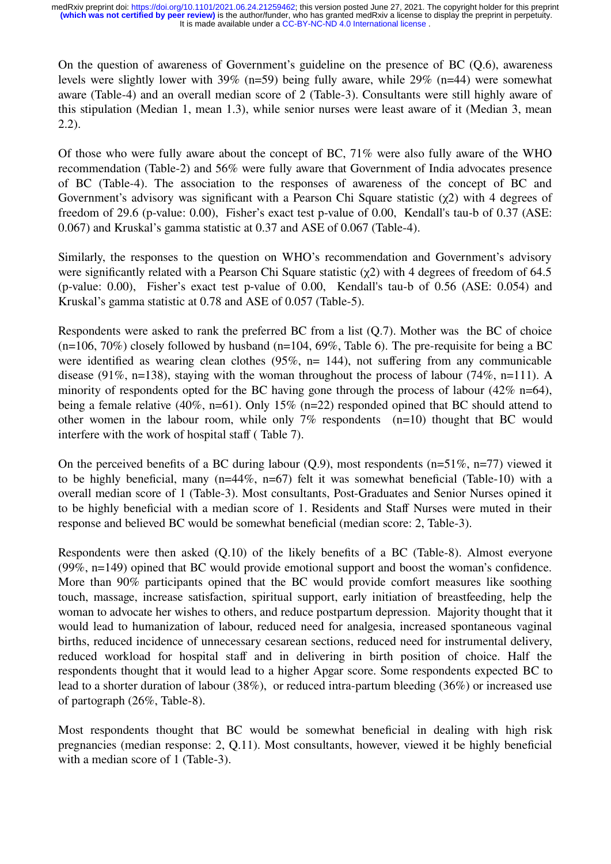On the question of awareness of Government's guideline on the presence of BC (Q.6), awareness levels were slightly lower with 39% (n=59) being fully aware, while 29% (n=44) were somewhat aware (Table-4) and an overall median score of 2 (Table-3). Consultants were still highly aware of this stipulation (Median 1, mean 1.3), while senior nurses were least aware of it (Median 3, mean 2.2).

Of those who were fully aware about the concept of BC, 71% were also fully aware of the WHO recommendation (Table-2) and 56% were fully aware that Government of India advocates presence of BC (Table-4). The association to the responses of awareness of the concept of BC and Government's advisory was significant with a Pearson Chi Square statistic  $(\chi^2)$  with 4 degrees of freedom of 29.6 (p-value: 0.00), Fisher's exact test p-value of 0.00, Kendall's tau-b of 0.37 (ASE: 0.067) and Kruskal's gamma statistic at 0.37 and ASE of 0.067 (Table-4).

Similarly, the responses to the question on WHO's recommendation and Government's advisory were significantly related with a Pearson Chi Square statistic  $(\chi^2)$  with 4 degrees of freedom of 64.5 (p-value: 0.00), Fisher's exact test p-value of 0.00, Kendall's tau-b of 0.56 (ASE: 0.054) and Kruskal's gamma statistic at 0.78 and ASE of 0.057 (Table-5).

Respondents were asked to rank the preferred BC from a list (Q.7). Mother was the BC of choice  $(n=106, 70\%)$  closely followed by husband  $(n=104, 69\%$ , Table 6). The pre-requisite for being a BC were identified as wearing clean clothes (95%, n= 144), not suffering from any communicable disease (91%, n=138), staying with the woman throughout the process of labour (74%, n=111). A minority of respondents opted for the BC having gone through the process of labour (42% n=64), being a female relative (40%, n=61). Only 15% (n=22) responded opined that BC should attend to other women in the labour room, while only 7% respondents (n=10) thought that BC would interfere with the work of hospital staff ( Table 7).

On the perceived benefits of a BC during labour  $(0.9)$ , most respondents (n=51%, n=77) viewed it to be highly beneficial, many (n=44%, n=67) felt it was somewhat beneficial (Table-10) with a overall median score of 1 (Table-3). Most consultants, Post-Graduates and Senior Nurses opined it to be highly beneficial with a median score of 1. Residents and Staff Nurses were muted in their response and believed BC would be somewhat beneficial (median score: 2, Table-3).

Respondents were then asked (Q.10) of the likely benefits of a BC (Table-8). Almost everyone (99%, n=149) opined that BC would provide emotional support and boost the woman's confidence. More than 90% participants opined that the BC would provide comfort measures like soothing touch, massage, increase satisfaction, spiritual support, early initiation of breastfeeding, help the woman to advocate her wishes to others, and reduce postpartum depression. Majority thought that it would lead to humanization of labour, reduced need for analgesia, increased spontaneous vaginal births, reduced incidence of unnecessary cesarean sections, reduced need for instrumental delivery, reduced workload for hospital staff and in delivering in birth position of choice. Half the respondents thought that it would lead to a higher Apgar score. Some respondents expected BC to lead to a shorter duration of labour (38%), or reduced intra-partum bleeding (36%) or increased use of partograph (26%, Table-8).

Most respondents thought that BC would be somewhat beneficial in dealing with high risk pregnancies (median response: 2, Q.11). Most consultants, however, viewed it be highly beneficial with a median score of 1 (Table-3).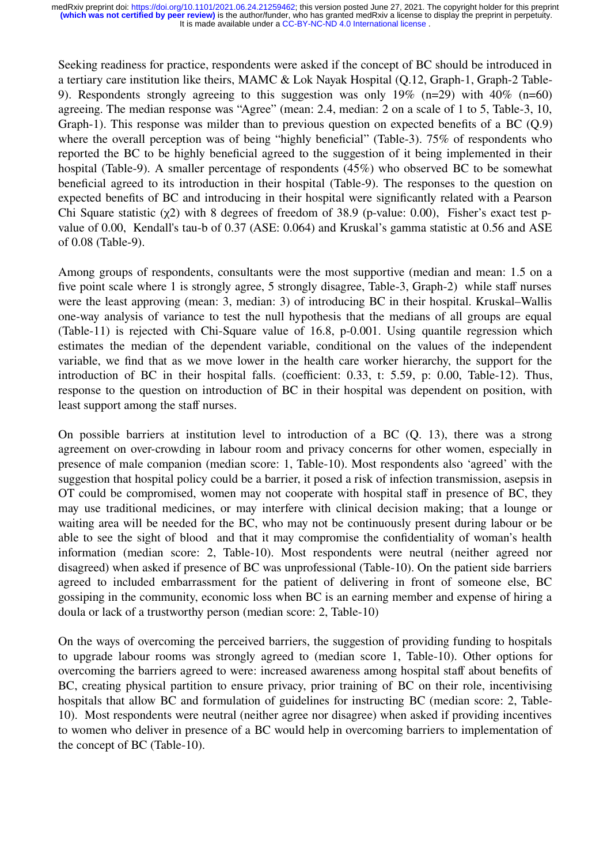Seeking readiness for practice, respondents were asked if the concept of BC should be introduced in a tertiary care institution like theirs, MAMC & Lok Nayak Hospital (Q.12, Graph-1, Graph-2 Table-9). Respondents strongly agreeing to this suggestion was only 19% (n=29) with 40% (n=60) agreeing. The median response was "Agree" (mean: 2.4, median: 2 on a scale of 1 to 5, Table-3, 10, Graph-1). This response was milder than to previous question on expected benefits of a BC (Q.9) where the overall perception was of being "highly beneficial" (Table-3). 75% of respondents who reported the BC to be highly beneficial agreed to the suggestion of it being implemented in their hospital (Table-9). A smaller percentage of respondents (45%) who observed BC to be somewhat beneficial agreed to its introduction in their hospital (Table-9). The responses to the question on expected benefits of BC and introducing in their hospital were significantly related with a Pearson Chi Square statistic (χ2) with 8 degrees of freedom of 38.9 (p-value: 0.00), Fisher's exact test pvalue of 0.00, Kendall's tau-b of 0.37 (ASE: 0.064) and Kruskal's gamma statistic at 0.56 and ASE of 0.08 (Table-9).

Among groups of respondents, consultants were the most supportive (median and mean: 1.5 on a five point scale where 1 is strongly agree, 5 strongly disagree, Table-3, Graph-2) while staff nurses were the least approving (mean: 3, median: 3) of introducing BC in their hospital. Kruskal–Wallis one-way analysis of variance to test the null hypothesis that the medians of all groups are equal (Table-11) is rejected with Chi-Square value of 16.8, p-0.001. Using quantile regression which estimates the median of the dependent variable, conditional on the values of the independent variable, we find that as we move lower in the health care worker hierarchy, the support for the introduction of BC in their hospital falls. (coefficient: 0.33, t: 5.59, p: 0.00, Table-12). Thus, response to the question on introduction of BC in their hospital was dependent on position, with least support among the staff nurses.

On possible barriers at institution level to introduction of a BC (Q. 13), there was a strong agreement on over-crowding in labour room and privacy concerns for other women, especially in presence of male companion (median score: 1, Table-10). Most respondents also 'agreed' with the suggestion that hospital policy could be a barrier, it posed a risk of infection transmission, asepsis in OT could be compromised, women may not cooperate with hospital staff in presence of BC, they may use traditional medicines, or may interfere with clinical decision making; that a lounge or waiting area will be needed for the BC, who may not be continuously present during labour or be able to see the sight of blood and that it may compromise the confidentiality of woman's health information (median score: 2, Table-10). Most respondents were neutral (neither agreed nor disagreed) when asked if presence of BC was unprofessional (Table-10). On the patient side barriers agreed to included embarrassment for the patient of delivering in front of someone else, BC gossiping in the community, economic loss when BC is an earning member and expense of hiring a doula or lack of a trustworthy person (median score: 2, Table-10)

On the ways of overcoming the perceived barriers, the suggestion of providing funding to hospitals to upgrade labour rooms was strongly agreed to (median score 1, Table-10). Other options for overcoming the barriers agreed to were: increased awareness among hospital staff about benefits of BC, creating physical partition to ensure privacy, prior training of BC on their role, incentivising hospitals that allow BC and formulation of guidelines for instructing BC (median score: 2, Table-10). Most respondents were neutral (neither agree nor disagree) when asked if providing incentives to women who deliver in presence of a BC would help in overcoming barriers to implementation of the concept of BC (Table-10).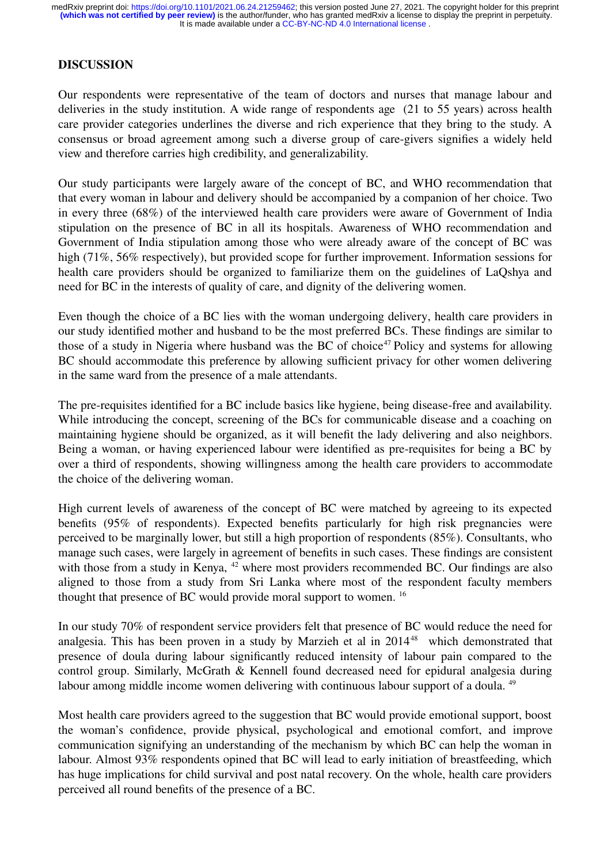# **DISCUSSION**

Our respondents were representative of the team of doctors and nurses that manage labour and deliveries in the study institution. A wide range of respondents age (21 to 55 years) across health care provider categories underlines the diverse and rich experience that they bring to the study. A consensus or broad agreement among such a diverse group of care-givers signifies a widely held view and therefore carries high credibility, and generalizability.

Our study participants were largely aware of the concept of BC, and WHO recommendation that that every woman in labour and delivery should be accompanied by a companion of her choice. Two in every three (68%) of the interviewed health care providers were aware of Government of India stipulation on the presence of BC in all its hospitals. Awareness of WHO recommendation and Government of India stipulation among those who were already aware of the concept of BC was high (71%, 56% respectively), but provided scope for further improvement. Information sessions for health care providers should be organized to familiarize them on the guidelines of LaQshya and need for BC in the interests of quality of care, and dignity of the delivering women.

Even though the choice of a BC lies with the woman undergoing delivery, health care providers in our study identified mother and husband to be the most preferred BCs. These findings are similar to those of a study in Nigeria where husband was the BC of choice<sup>47</sup> Policy and systems for allowing BC should accommodate this preference by allowing sufficient privacy for other women delivering in the same ward from the presence of a male attendants.

The pre-requisites identified for a BC include basics like hygiene, being disease-free and availability. While introducing the concept, screening of the BCs for communicable disease and a coaching on maintaining hygiene should be organized, as it will benefit the lady delivering and also neighbors. Being a woman, or having experienced labour were identified as pre-requisites for being a BC by over a third of respondents, showing willingness among the health care providers to accommodate the choice of the delivering woman.

High current levels of awareness of the concept of BC were matched by agreeing to its expected benefits (95% of respondents). Expected benefits particularly for high risk pregnancies were perceived to be marginally lower, but still a high proportion of respondents (85%). Consultants, who manage such cases, were largely in agreement of benefits in such cases. These findings are consistent with those from a study in Kenya, <sup>42</sup> where most providers recommended BC. Our findings are also aligned to those from a study from Sri Lanka where most of the respondent faculty members thought that presence of BC would provide moral support to women. <sup>16</sup>

In our study 70% of respondent service providers felt that presence of BC would reduce the need for analgesia. This has been proven in a study by Marzieh et al in  $2014^{48}$  which demonstrated that presence of doula during labour significantly reduced intensity of labour pain compared to the control group. Similarly, McGrath & Kennell found decreased need for epidural analgesia during labour among middle income women delivering with continuous labour support of a doula. <sup>49</sup>

Most health care providers agreed to the suggestion that BC would provide emotional support, boost the woman's confidence, provide physical, psychological and emotional comfort, and improve communication signifying an understanding of the mechanism by which BC can help the woman in labour. Almost 93% respondents opined that BC will lead to early initiation of breastfeeding, which has huge implications for child survival and post natal recovery. On the whole, health care providers perceived all round benefits of the presence of a BC.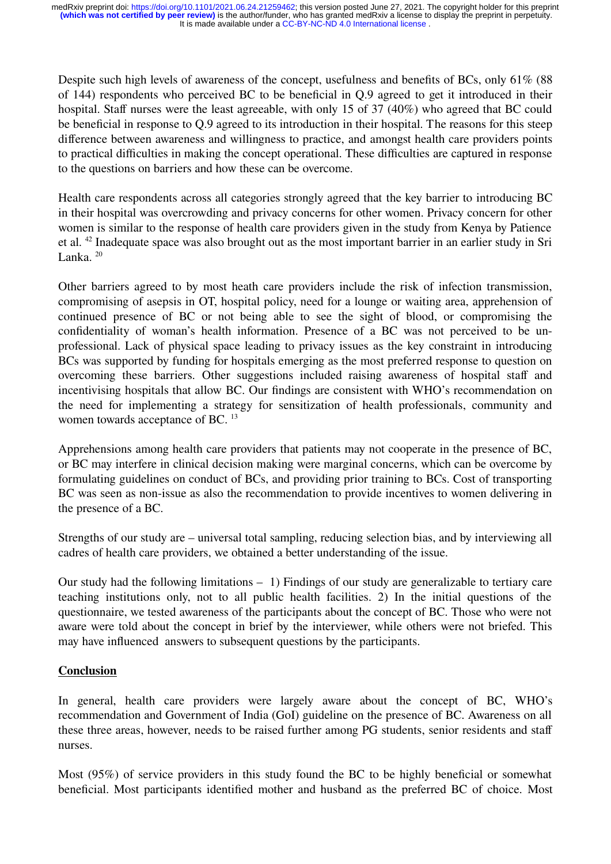Despite such high levels of awareness of the concept, usefulness and benefits of BCs, only 61% (88) of 144) respondents who perceived BC to be beneficial in Q.9 agreed to get it introduced in their hospital. Staff nurses were the least agreeable, with only 15 of 37 (40%) who agreed that BC could be beneficial in response to Q.9 agreed to its introduction in their hospital. The reasons for this steep difference between awareness and willingness to practice, and amongst health care providers points to practical difficulties in making the concept operational. These difficulties are captured in response to the questions on barriers and how these can be overcome.

Health care respondents across all categories strongly agreed that the key barrier to introducing BC in their hospital was overcrowding and privacy concerns for other women. Privacy concern for other women is similar to the response of health care providers given in the study from Kenya by Patience et al. <sup>42</sup> Inadequate space was also brought out as the most important barrier in an earlier study in Sri Lanka $^{20}$ 

Other barriers agreed to by most heath care providers include the risk of infection transmission, compromising of asepsis in OT, hospital policy, need for a lounge or waiting area, apprehension of continued presence of BC or not being able to see the sight of blood, or compromising the confidentiality of woman's health information. Presence of a BC was not perceived to be unprofessional. Lack of physical space leading to privacy issues as the key constraint in introducing BCs was supported by funding for hospitals emerging as the most preferred response to question on overcoming these barriers. Other suggestions included raising awareness of hospital staff and incentivising hospitals that allow BC. Our findings are consistent with WHO's recommendation on the need for implementing a strategy for sensitization of health professionals, community and women towards acceptance of BC. <sup>13</sup>

Apprehensions among health care providers that patients may not cooperate in the presence of BC, or BC may interfere in clinical decision making were marginal concerns, which can be overcome by formulating guidelines on conduct of BCs, and providing prior training to BCs. Cost of transporting BC was seen as non-issue as also the recommendation to provide incentives to women delivering in the presence of a BC.

Strengths of our study are – universal total sampling, reducing selection bias, and by interviewing all cadres of health care providers, we obtained a better understanding of the issue.

Our study had the following limitations – 1) Findings of our study are generalizable to tertiary care teaching institutions only, not to all public health facilities. 2) In the initial questions of the questionnaire, we tested awareness of the participants about the concept of BC. Those who were not aware were told about the concept in brief by the interviewer, while others were not briefed. This may have influenced answers to subsequent questions by the participants.

# **Conclusion**

In general, health care providers were largely aware about the concept of BC, WHO's recommendation and Government of India (GoI) guideline on the presence of BC. Awareness on all these three areas, however, needs to be raised further among PG students, senior residents and staff nurses.

Most (95%) of service providers in this study found the BC to be highly beneficial or somewhat beneficial. Most participants identified mother and husband as the preferred BC of choice. Most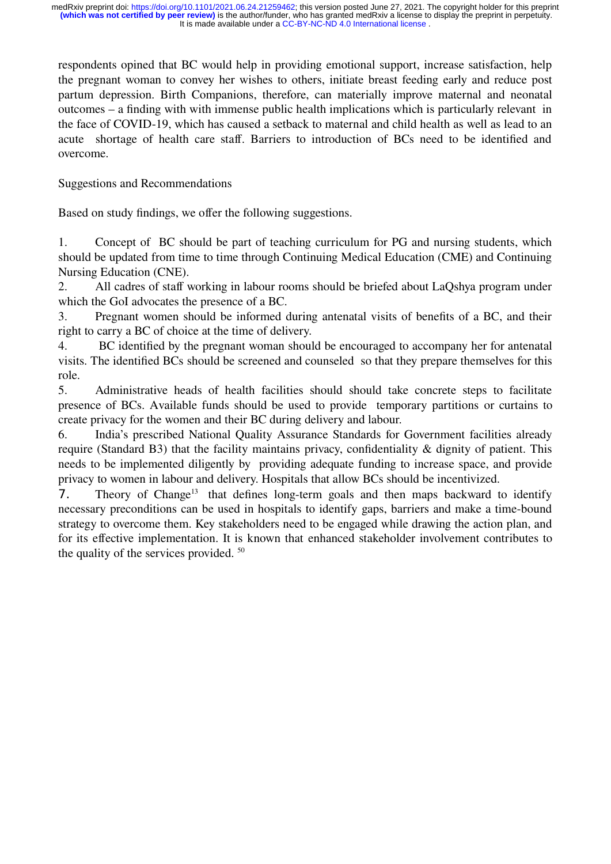respondents opined that BC would help in providing emotional support, increase satisfaction, help the pregnant woman to convey her wishes to others, initiate breast feeding early and reduce post partum depression. Birth Companions, therefore, can materially improve maternal and neonatal outcomes – a finding with with immense public health implications which is particularly relevant in the face of COVID-19, which has caused a setback to maternal and child health as well as lead to an acute shortage of health care staff. Barriers to introduction of BCs need to be identified and overcome.

Suggestions and Recommendations

Based on study findings, we offer the following suggestions.

1. Concept of BC should be part of teaching curriculum for PG and nursing students, which should be updated from time to time through Continuing Medical Education (CME) and Continuing Nursing Education (CNE).

2. All cadres of staff working in labour rooms should be briefed about LaQshya program under which the GoI advocates the presence of a BC.

3. Pregnant women should be informed during antenatal visits of benefits of a BC, and their right to carry a BC of choice at the time of delivery.

4. BC identified by the pregnant woman should be encouraged to accompany her for antenatal visits. The identified BCs should be screened and counseled so that they prepare themselves for this role.

5. Administrative heads of health facilities should should take concrete steps to facilitate presence of BCs. Available funds should be used to provide temporary partitions or curtains to create privacy for the women and their BC during delivery and labour.

6. India's prescribed National Quality Assurance Standards for Government facilities already require (Standard B3) that the facility maintains privacy, confidentiality & dignity of patient. This needs to be implemented diligently by providing adequate funding to increase space, and provide privacy to women in labour and delivery. Hospitals that allow BCs should be incentivized.

7. Theory of Change<sup>13</sup> that defines long-term goals and then maps backward to identify necessary preconditions can be used in hospitals to identify gaps, barriers and make a time-bound strategy to overcome them. Key stakeholders need to be engaged while drawing the action plan, and for its effective implementation. It is known that enhanced stakeholder involvement contributes to the quality of the services provided. <sup>50</sup>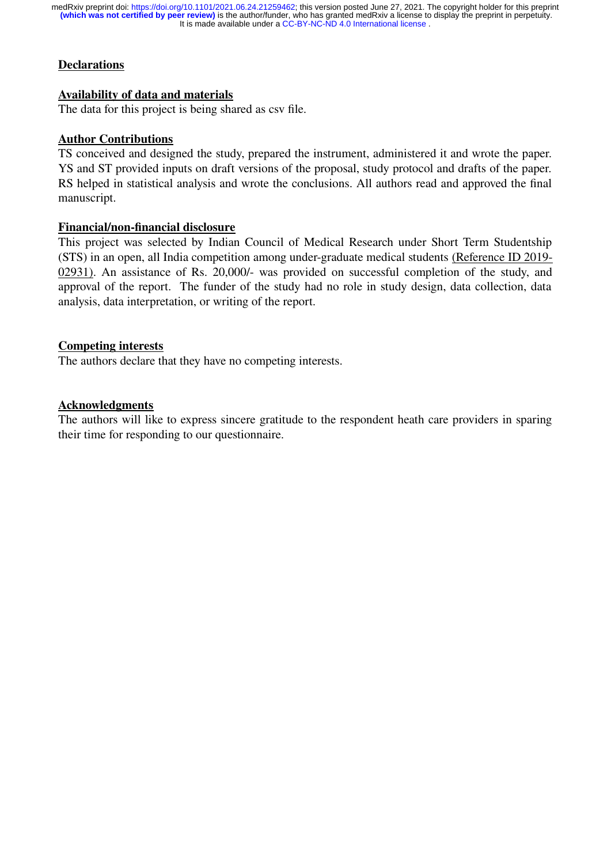# **Declarations**

#### **Availability of data and materials**

The data for this project is being shared as csv file.

#### **Author Contributions**

TS conceived and designed the study, prepared the instrument, administered it and wrote the paper. YS and ST provided inputs on draft versions of the proposal, study protocol and drafts of the paper. RS helped in statistical analysis and wrote the conclusions. All authors read and approved the final manuscript.

#### **Financial/non-financial disclosure**

This project was selected by Indian Council of Medical Research under Short Term Studentship (STS) in an open, all India competition among under-graduate medical students (Reference ID 2019- 02931). An assistance of Rs. 20,000/- was provided on successful completion of the study, and approval of the report. The funder of the study had no role in study design, data collection, data analysis, data interpretation, or writing of the report.

#### **Competing interests**

The authors declare that they have no competing interests.

#### **Acknowledgments**

The authors will like to express sincere gratitude to the respondent heath care providers in sparing their time for responding to our questionnaire.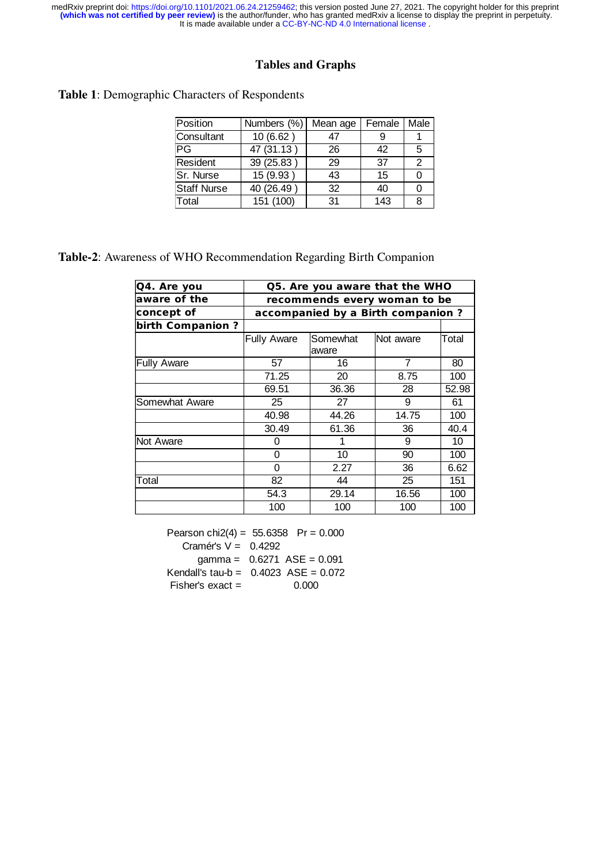# **Tables and Graphs**

**Table 1**: Demographic Characters of Respondents

| Position           | Numbers (%) | Mean age | Female | Male |
|--------------------|-------------|----------|--------|------|
| Consultant         | 10(6.62)    | 47       |        |      |
| PG                 | 47(31.13)   | 26       | 42     | 5    |
| Resident           | 39 (25.83)  | 29       | 37     | 2    |
| Sr. Nurse          | 15 (9.93)   | 43       | 15     | 0    |
| <b>Staff Nurse</b> | 40 (26.49)  | 32       | 40     | 0    |
| Total              | 151 (100)   | 31       | 143    | 8    |

**Table-2**: Awareness of WHO Recommendation Regarding Birth Companion

| Q4. Are you<br>Q5. Are you aware that the WHO |                                   |                   |                  |       |  |  |
|-----------------------------------------------|-----------------------------------|-------------------|------------------|-------|--|--|
| aware of the                                  | recommends every woman to be      |                   |                  |       |  |  |
| concept of                                    | accompanied by a Birth companion? |                   |                  |       |  |  |
| birth Companion?                              |                                   |                   |                  |       |  |  |
|                                               | <b>Fully Aware</b>                | Somewhat<br>aware | <b>Not aware</b> | Total |  |  |
| <b>Fully Aware</b>                            | 57                                | 16                | 7                | 80    |  |  |
|                                               | 71.25                             | 20                | 8.75             | 100   |  |  |
|                                               | 69.51                             | 36.36             | 28               | 52.98 |  |  |
| <b>Somewhat Aware</b>                         | 25                                | 27                | 9                | 61    |  |  |
|                                               | 40.98                             | 44.26             | 14.75            | 100   |  |  |
|                                               | 30.49                             | 61.36             | 36               | 40.4  |  |  |
| <b>Not Aware</b>                              | 0                                 | 1                 | 9                | 10    |  |  |
|                                               | 0                                 | 10                | 90               | 100   |  |  |
|                                               | 0                                 | 2.27              | 36               | 6.62  |  |  |
| Total                                         | 82                                | 44                | 25               | 151   |  |  |
|                                               | 54.3                              | 29.14             | 16.56            | 100   |  |  |
|                                               | 100                               | 100               | 100              | 100   |  |  |

Pearson chi2(4) =  $55.6358$  Pr = 0.000 Cramér's V = 0.4292  $gamma = 0.6271$  ASE = 0.091 Kendall's tau-b = 0.4023 ASE = 0.072 Fisher's exact = 0.000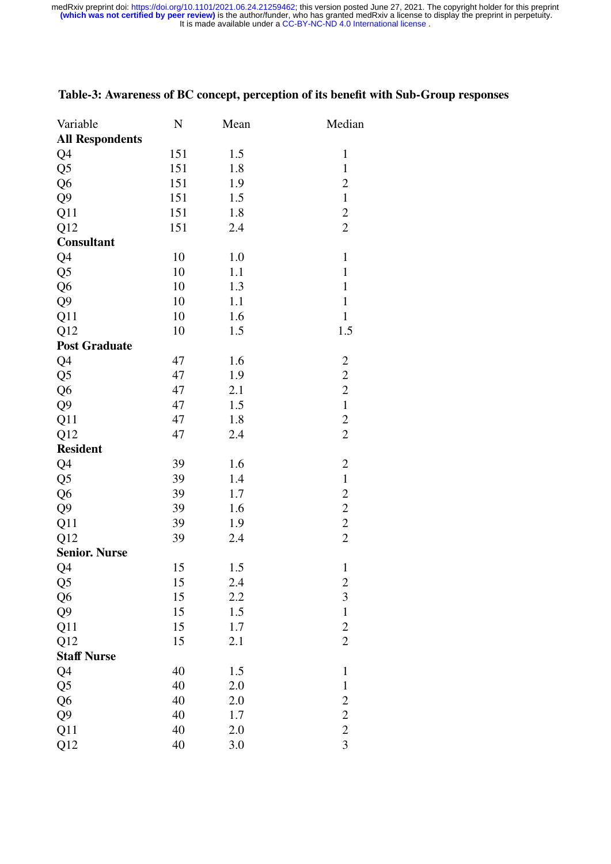| Variable               | ${\bf N}$ | Mean | Median         |
|------------------------|-----------|------|----------------|
| <b>All Respondents</b> |           |      |                |
| Q4                     | 151       | 1.5  | $\mathbf{1}$   |
| Q <sub>5</sub>         | 151       | 1.8  | $\mathbf{1}$   |
| Q <sub>6</sub>         | 151       | 1.9  | $\mathbf{2}$   |
| Q <sub>9</sub>         | 151       | 1.5  | $\mathbf{1}$   |
| Q11                    | 151       | 1.8  | $\overline{c}$ |
| Q12                    | 151       | 2.4  | $\overline{2}$ |
| <b>Consultant</b>      |           |      |                |
| Q4                     | 10        | 1.0  | $\mathbf{1}$   |
| Q <sub>5</sub>         | 10        | 1.1  | $\mathbf{1}$   |
| Q <sub>6</sub>         | 10        | 1.3  | $\mathbf{1}$   |
| Q <sub>9</sub>         | 10        | 1.1  | $\mathbf{1}$   |
| Q11                    | 10        | 1.6  | $\mathbf{1}$   |
| Q12                    | 10        | 1.5  | 1.5            |
| <b>Post Graduate</b>   |           |      |                |
| Q4                     | 47        | 1.6  | $\overline{c}$ |
| Q <sub>5</sub>         | 47        | 1.9  | $\overline{c}$ |
| Q <sub>6</sub>         | 47        | 2.1  | $\overline{c}$ |
| Q <sub>9</sub>         | 47        | 1.5  | $\mathbf{1}$   |
| Q11                    | 47        | 1.8  | $\overline{c}$ |
| Q12                    | 47        | 2.4  | $\overline{c}$ |
| <b>Resident</b>        |           |      |                |
| Q4                     | 39        | 1.6  | $\overline{c}$ |
| Q <sub>5</sub>         | 39        | 1.4  | $\mathbf{1}$   |
| Q <sub>6</sub>         | 39        | 1.7  | $\overline{c}$ |
| Q <sub>9</sub>         | 39        | 1.6  | $\overline{c}$ |
| Q11                    | 39        | 1.9  | $\overline{c}$ |
| Q12                    | 39        | 2.4  | $\overline{c}$ |
| <b>Senior. Nurse</b>   |           |      |                |
| Q4                     | 15        | 1.5  | $\mathbf{1}$   |
| Q <sub>5</sub>         | 15        | 2.4  |                |
| Q <sub>6</sub>         | 15        | 2.2  | $rac{2}{3}$    |
| Q <sub>9</sub>         | 15        | 1.5  | $\mathbf{1}$   |
| Q11                    | 15        | 1.7  |                |
| Q12                    | 15        | 2.1  | $\frac{2}{2}$  |
| <b>Staff Nurse</b>     |           |      |                |
| Q4                     | 40        | 1.5  | $\mathbf 1$    |
| Q <sub>5</sub>         | 40        | 2.0  | $\,1$          |
| Q <sub>6</sub>         | 40        | 2.0  | $\overline{c}$ |
| Q <sub>9</sub>         | 40        | 1.7  | $\overline{c}$ |
| Q11                    | 40        | 2.0  | $\overline{c}$ |
| Q12                    | 40        | 3.0  | $\overline{3}$ |

# **Table-3: Awareness of BC concept, perception of its benefit with Sub-Group responses**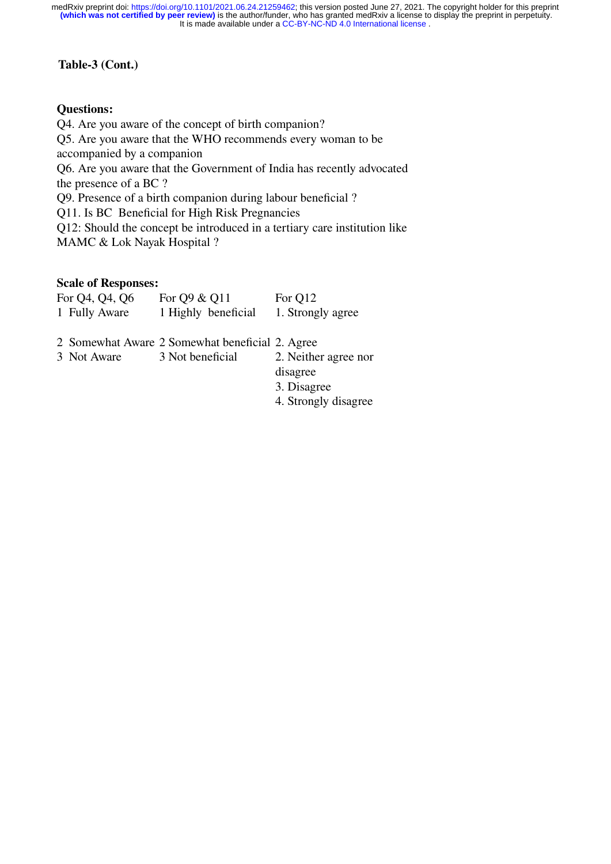#### **Table-3 (Cont.)**

#### **Questions:**

Q4. Are you aware of the concept of birth companion? Q5. Are you aware that the WHO recommends every woman to be accompanied by a companion Q6. Are you aware that the Government of India has recently advocated the presence of a BC ? Q9. Presence of a birth companion during labour beneficial ? Q11. Is BC Beneficial for High Risk Pregnancies Q12: Should the concept be introduced in a tertiary care institution like

MAMC & Lok Nayak Hospital ?

#### **Scale of Responses:**

| For Q4, Q4, Q6 | For Q9 & Q11        | For Q12           |
|----------------|---------------------|-------------------|
| 1 Fully Aware  | 1 Highly beneficial | 1. Strongly agree |

2 Somewhat Aware 2 Somewhat beneficial 2. Agree<br>3 Not Aware 3 Not beneficial 2. Neither

2. Neither agree nor disagree

3. Disagree

4. Strongly disagree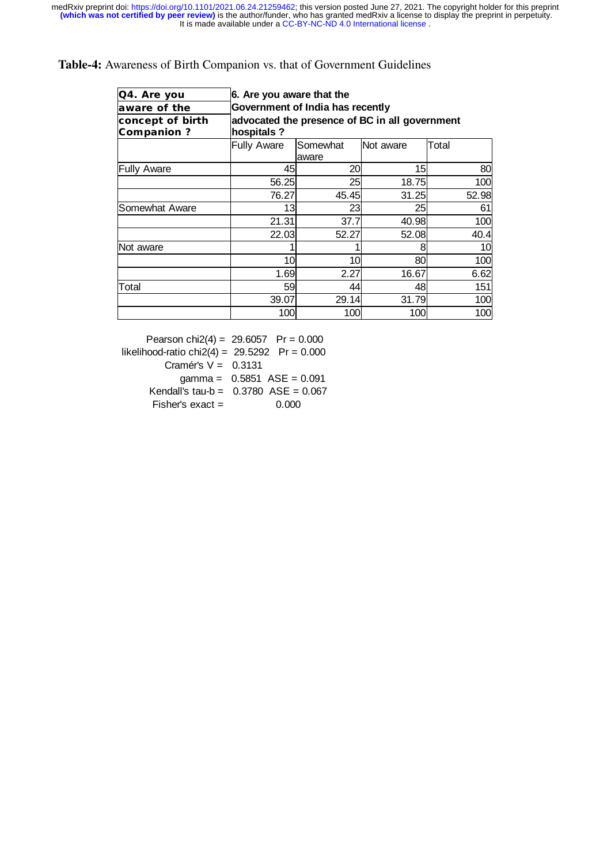#### **Table-4:** Awareness of Birth Companion vs. that of Government Guidelines

| Q4. Are you                           |                                                              | 6. Are you aware that the        |                  |                 |  |  |  |
|---------------------------------------|--------------------------------------------------------------|----------------------------------|------------------|-----------------|--|--|--|
| aware of the                          |                                                              | Government of India has recently |                  |                 |  |  |  |
| concept of birth<br><b>Companion?</b> | advocated the presence of BC in all government<br>hospitals? |                                  |                  |                 |  |  |  |
|                                       | <b>Fully Aware</b>                                           | Somewhat<br>aware                | <b>Not aware</b> | Total           |  |  |  |
| <b>Fully Aware</b>                    | 45                                                           | 20                               | 15               | 80              |  |  |  |
|                                       | 56.25                                                        | 25                               | 18.75            | 100             |  |  |  |
|                                       | 76.27                                                        | 45.45                            | 31.25            | 52.98           |  |  |  |
| Somewhat Aware                        | 131                                                          | 231                              | 25               | 61              |  |  |  |
|                                       | 21.31                                                        | 37.7                             | 40.98            | 100             |  |  |  |
|                                       | 22.03                                                        | 52.27                            | 52.08            | 40.4            |  |  |  |
| Not aware                             |                                                              |                                  | 8                | 10 <sup>1</sup> |  |  |  |
|                                       | 10                                                           | 10                               | 80               | 100             |  |  |  |
|                                       | 1.69                                                         | 2.27                             | 16.67            | 6.62            |  |  |  |
| Total                                 | 59                                                           | 44                               | 48               | 151             |  |  |  |
|                                       | 39.07                                                        | 29.14                            | 31.79            | 100             |  |  |  |
|                                       | 100                                                          | 100                              | 100              | 100             |  |  |  |

Pearson chi2(4) =  $29.6057$  Pr = 0.000 likelihood-ratio chi $2(4) = 29.5292$  Pr = 0.000 Cramér's  $V = 0.3131$  $gamma = 0.5851$   $ASE = 0.091$ Kendall's tau-b =  $0.3780$  ASE =  $0.067$  $Fisher's exact = 0.000$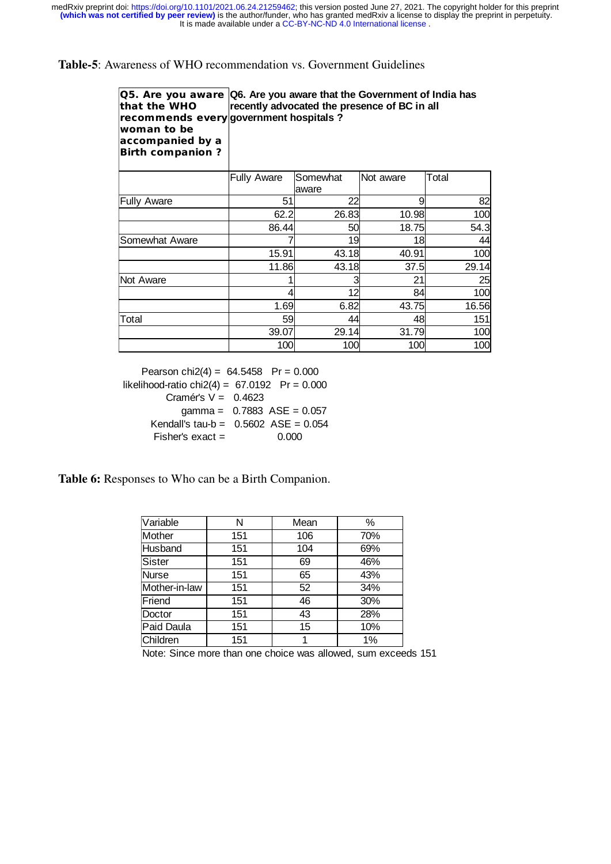**Table-5**: Awareness of WHO recommendation vs. Government Guidelines

|                         | Q5. Are you aware Q6. Are you aware that the Government of India has |
|-------------------------|----------------------------------------------------------------------|
| that the WHO            | recently advocated the presence of BC in all                         |
|                         | recommends every government hospitals?                               |
| woman to be             |                                                                      |
| accompanied by a        |                                                                      |
| <b>Birth companion?</b> |                                                                      |

|                       | <b>Fully Aware</b> | Somewhat | INot aware | Total |
|-----------------------|--------------------|----------|------------|-------|
|                       |                    | laware   |            |       |
| <b>Fully Aware</b>    | 51                 | 22       | 9          | 82    |
|                       | 62.2               | 26.83    | 10.98      | 100   |
|                       | 86.44              | 50       | 18.75      | 54.3  |
| <b>Somewhat Aware</b> |                    | 19       | 18         | 44    |
|                       | 15.91              | 43.18    | 40.91      | 100   |
|                       | 11.86              | 43.18    | 37.5       | 29.14 |
| Not Aware             |                    |          | 21         | 25    |
|                       |                    | 12       | 84         | 100   |
|                       | 1.69               | 6.82     | 43.75      | 16.56 |
| Total                 | 59                 | 44       | 48         | 151   |
|                       | 39.07              | 29.14    | 31.79      | 100   |
|                       | 100                | 100      | 100        | 100   |

Pearson chi2(4) =  $64.5458$  Pr = 0.000 likelihood-ratio chi $2(4) = 67.0192$  Pr = 0.000 Cramér's  $V = 0.4623$  gamma = 0.7883 ASE = 0.057 Kendall's tau-b =  $0.5602$  ASE =  $0.054$  $Fisher's exact = 0.000$ 

**Table 6:** Responses to Who can be a Birth Companion.

| Variable      | N   | Mean | %     |
|---------------|-----|------|-------|
| Mother        | 151 | 106  | 70%   |
| Husband       | 151 | 104  | 69%   |
| <b>Sister</b> | 151 | 69   | 46%   |
| Nurse         | 151 | 65   | 43%   |
| Mother-in-law | 151 | 52   | 34%   |
| Friend        | 151 | 46   | 30%   |
| Doctor        | 151 | 43   | 28%   |
| Paid Daula    | 151 | 15   | 10%   |
| Children      | 151 | 1    | $1\%$ |

Note: Since more than one choice was allowed, sum exceeds 151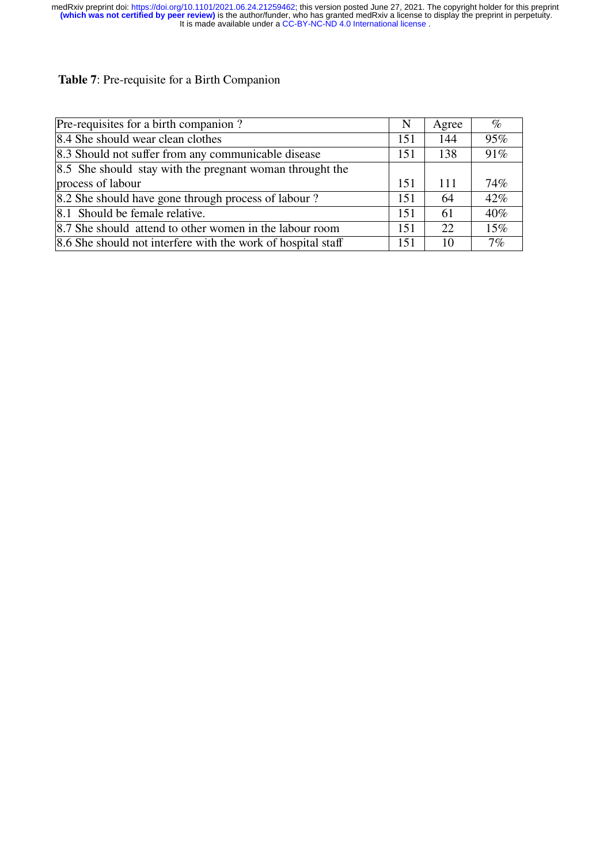# **Table 7**: Pre-requisite for a Birth Companion

| Pre-requisites for a birth companion?                        | N   | Agree | $\%$   |
|--------------------------------------------------------------|-----|-------|--------|
| 8.4 She should wear clean clothes                            | 151 | 144   | 95%    |
| 8.3 Should not suffer from any communicable disease          | 151 | 138   | 91%    |
| 8.5 She should stay with the pregnant woman throught the     |     |       |        |
| process of labour                                            | 151 | 111   | 74%    |
| 8.2 She should have gone through process of labour?          | 151 | 64    | 42%    |
| 8.1 Should be female relative.                               | 151 | 61    | 40%    |
| 8.7 She should attend to other women in the labour room      | 151 | 22    | $15\%$ |
| 8.6 She should not interfere with the work of hospital staff | 151 | 10    | 7%     |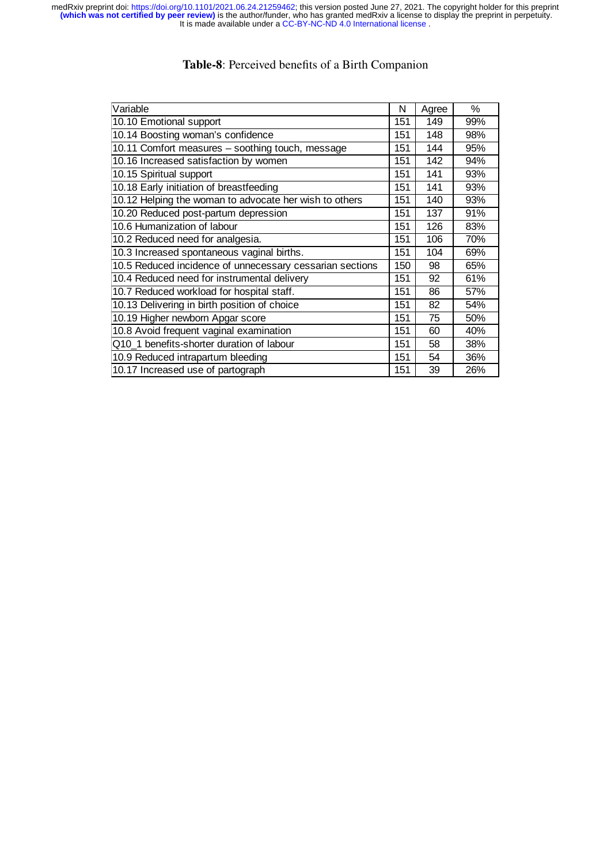# **Table-8**: Perceived benefits of a Birth Companion

| Variable                                                 | N   | Agree | $\%$ |
|----------------------------------------------------------|-----|-------|------|
| 10.10 Emotional support                                  | 151 | 149   | 99%  |
| 10.14 Boosting woman's confidence                        | 151 | 148   | 98%  |
| 10.11 Comfort measures - soothing touch, message         | 151 | 144   | 95%  |
| 10.16 Increased satisfaction by women                    | 151 | 142   | 94%  |
| 10.15 Spiritual support                                  | 151 | 141   | 93%  |
| 10.18 Early initiation of breastfeeding                  | 151 | 141   | 93%  |
| 10.12 Helping the woman to advocate her wish to others   | 151 | 140   | 93%  |
| 10.20 Reduced post-partum depression                     | 151 | 137   | 91%  |
| 10.6 Humanization of labour                              | 151 | 126   | 83%  |
| 10.2 Reduced need for analgesia.                         | 151 | 106   | 70%  |
| 10.3 Increased spontaneous vaginal births.               | 151 | 104   | 69%  |
| 10.5 Reduced incidence of unnecessary cessarian sections | 150 | 98    | 65%  |
| 10.4 Reduced need for instrumental delivery              | 151 | 92    | 61%  |
| 10.7 Reduced workload for hospital staff.                | 151 | 86    | 57%  |
| 10.13 Delivering in birth position of choice             | 151 | 82    | 54%  |
| 10.19 Higher newborn Apgar score                         | 151 | 75    | 50%  |
| 10.8 Avoid frequent vaginal examination                  | 151 | 60    | 40%  |
| Q10 1 benefits-shorter duration of labour                | 151 | 58    | 38%  |
| 10.9 Reduced intrapartum bleeding                        | 151 | 54    | 36%  |
| 10.17 Increased use of partograph                        | 151 | 39    | 26%  |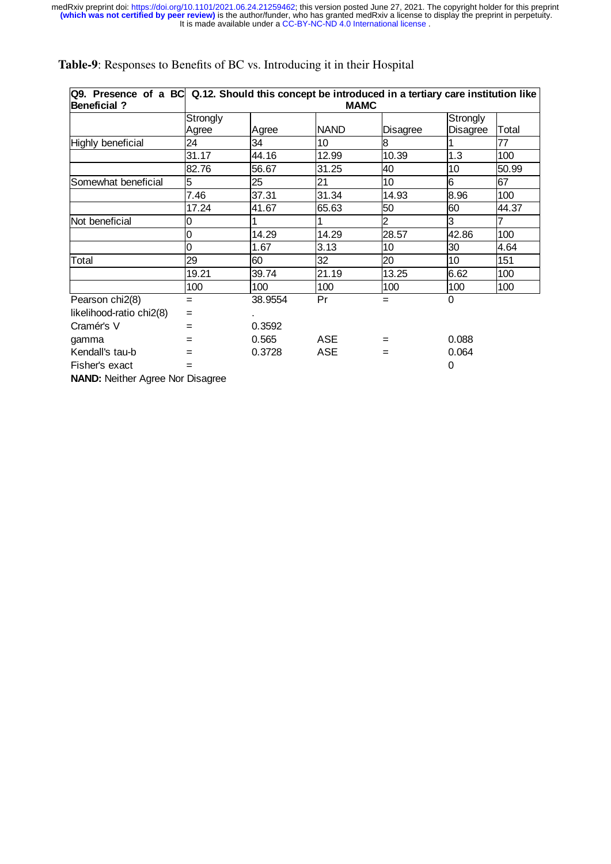# **Table-9**: Responses to Benefits of BC vs. Introducing it in their Hospital

| Q9. Presence of a BC Q.12. Should this concept be introduced in a tertiary care institution like<br><b>Beneficial?</b> |          |         | <b>MAMC</b> |                 |                 |       |
|------------------------------------------------------------------------------------------------------------------------|----------|---------|-------------|-----------------|-----------------|-------|
|                                                                                                                        | Strongly |         |             |                 | Strongly        |       |
|                                                                                                                        | Agree    | Agree   | <b>NAND</b> | <b>Disagree</b> | <b>Disagree</b> | Total |
| Highly beneficial                                                                                                      | 24       | 34      | 10          | 8               |                 | 77    |
|                                                                                                                        | 31.17    | 44.16   | 12.99       | 10.39           | 1.3             | 100   |
|                                                                                                                        | 82.76    | 56.67   | 31.25       | 40              | 10              | 50.99 |
| Somewhat beneficial                                                                                                    | 5        | 25      | 21          | 10              | 6               | 67    |
|                                                                                                                        | 7.46     | 37.31   | 31.34       | 14.93           | 8.96            | 100   |
|                                                                                                                        | 17.24    | 41.67   | 65.63       | 50              | 60              | 44.37 |
| Not beneficial                                                                                                         | 0        |         |             | 2               | 3               |       |
|                                                                                                                        | 0        | 14.29   | 14.29       | 28.57           | 42.86           | 100   |
|                                                                                                                        | 0        | 1.67    | 3.13        | 10              | 30              | 4.64  |
| Total                                                                                                                  | 29       | 60      | 32          | 20              | 10              | 151   |
|                                                                                                                        | 19.21    | 39.74   | 21.19       | 13.25           | 6.62            | 100   |
|                                                                                                                        | 100      | 100     | 100         | 100             | 100             | 100   |
| Pearson chi2(8)                                                                                                        | Ξ        | 38.9554 | Pr          | $=$             | 0               |       |
| likelihood-ratio chi2(8)                                                                                               | $=$      |         |             |                 |                 |       |
| Cramér's V                                                                                                             | Ξ        | 0.3592  |             |                 |                 |       |
| gamma                                                                                                                  | Ξ        | 0.565   | ASE         | $\equiv$        | 0.088           |       |
| Kendall's tau-b                                                                                                        |          | 0.3728  | <b>ASE</b>  | $=$             | 0.064           |       |
| Fisher's exact                                                                                                         |          |         |             |                 | 0               |       |
|                                                                                                                        |          |         |             |                 |                 |       |

**NAND:** Neither Agree Nor Disagree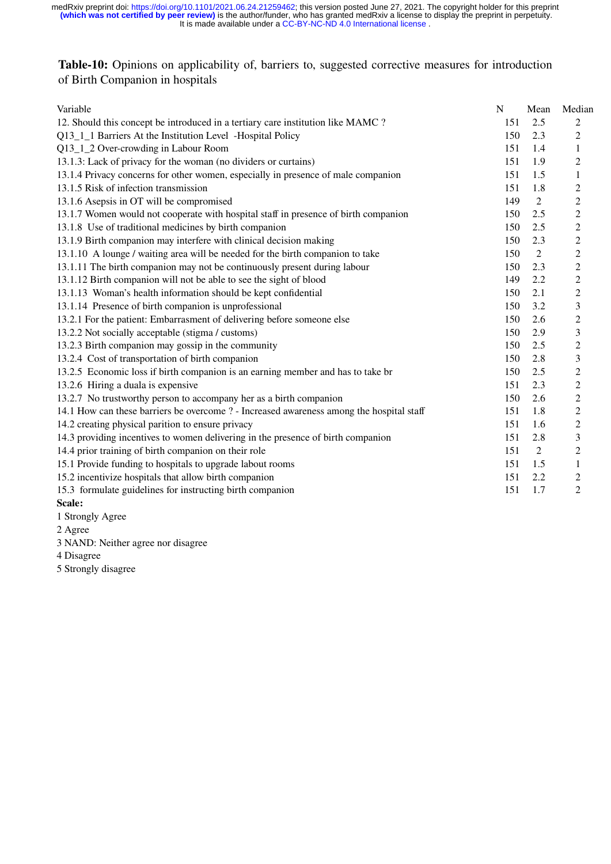# **Table-10:** Opinions on applicability of, barriers to, suggested corrective measures for introduction of Birth Companion in hospitals

| Variable                                                                                 | N   | Mean           | Median           |
|------------------------------------------------------------------------------------------|-----|----------------|------------------|
| 12. Should this concept be introduced in a tertiary care institution like MAMC ?         | 151 | 2.5            | $\overline{2}$   |
| Q13_1_1 Barriers At the Institution Level -Hospital Policy                               | 150 | 2.3            | 2                |
| Q13_1_2 Over-crowding in Labour Room                                                     | 151 | 1.4            | $\mathbf{1}$     |
| 13.1.3: Lack of privacy for the woman (no dividers or curtains)                          | 151 | 1.9            | $\overline{c}$   |
| 13.1.4 Privacy concerns for other women, especially in presence of male companion        | 151 | 1.5            | 1                |
| 13.1.5 Risk of infection transmission                                                    | 151 | 1.8            | $\overline{c}$   |
| 13.1.6 Asepsis in OT will be compromised                                                 | 149 | $\overline{2}$ | $\overline{c}$   |
| 13.1.7 Women would not cooperate with hospital staff in presence of birth companion      | 150 | 2.5            | $\mathbf{2}$     |
| 13.1.8 Use of traditional medicines by birth companion                                   | 150 | 2.5            | $\overline{c}$   |
| 13.1.9 Birth companion may interfere with clinical decision making                       | 150 | 2.3            | $\boldsymbol{2}$ |
| 13.1.10 A lounge / waiting area will be needed for the birth companion to take           | 150 | $\overline{2}$ | $\sqrt{2}$       |
| 13.1.11 The birth companion may not be continuously present during labour                | 150 | 2.3            | $\overline{c}$   |
| 13.1.12 Birth companion will not be able to see the sight of blood                       | 149 | 2.2            | $\overline{c}$   |
| 13.1.13 Woman's health information should be kept confidential                           | 150 | 2.1            | $\overline{c}$   |
| 13.1.14 Presence of birth companion is unprofessional                                    | 150 | 3.2            | 3                |
| 13.2.1 For the patient: Embarrasment of delivering before someone else                   | 150 | 2.6            | $\overline{c}$   |
| 13.2.2 Not socially acceptable (stigma / customs)                                        | 150 | 2.9            | 3                |
| 13.2.3 Birth companion may gossip in the community                                       | 150 | 2.5            | 2                |
| 13.2.4 Cost of transportation of birth companion                                         | 150 | 2.8            | 3                |
| 13.2.5 Economic loss if birth companion is an earning member and has to take br          | 150 | 2.5            | $\mathbf{2}$     |
| 13.2.6 Hiring a duala is expensive                                                       | 151 | 2.3            | $\mathbf{2}$     |
| 13.2.7 No trustworthy person to accompany her as a birth companion                       | 150 | 2.6            | $\mathfrak{2}$   |
| 14.1 How can these barriers be overcome ? - Increased awareness among the hospital staff | 151 | 1.8            | $\mathbf{2}$     |
| 14.2 creating physical parition to ensure privacy                                        | 151 | 1.6            | $\overline{c}$   |
| 14.3 providing incentives to women delivering in the presence of birth companion         | 151 | 2.8            | 3                |
| 14.4 prior training of birth companion on their role                                     | 151 | 2              | 2                |
| 15.1 Provide funding to hospitals to upgrade labout rooms                                | 151 | 1.5            | 1                |
| 15.2 incentivize hospitals that allow birth companion                                    | 151 | 2.2            | $\overline{c}$   |
| 15.3 formulate guidelines for instructing birth companion                                | 151 | 1.7            | $\overline{2}$   |
| Scale:                                                                                   |     |                |                  |

1 Strongly Agree

2 Agree

3 NAND: Neither agree nor disagree

4 Disagree

5 Strongly disagree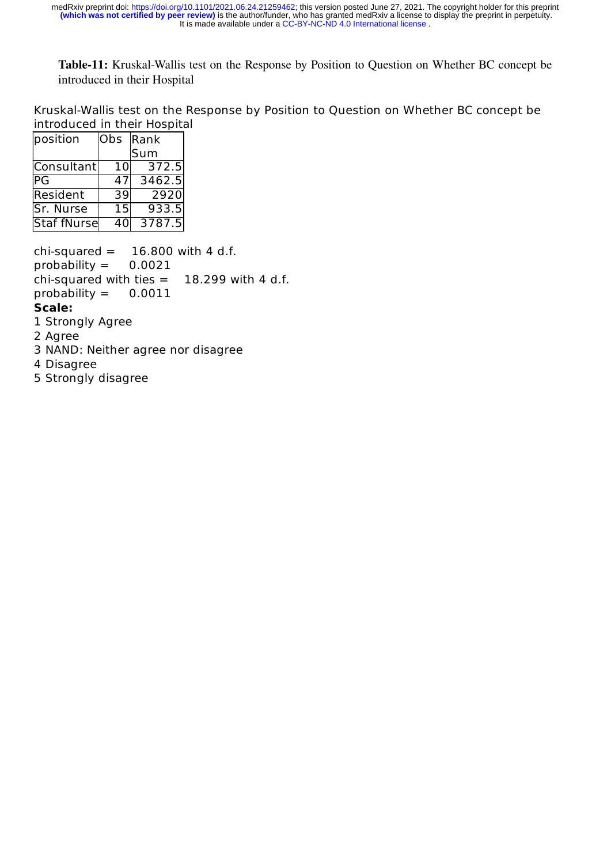**Table-11:** Kruskal-Wallis test on the Response by Position to Question on Whether BC concept be introduced in their Hospital

Kruskal-Wallis test on the Response by Position to Question on Whether BC concept be introduced in their Hospital

| position    | Obs Rank |        |
|-------------|----------|--------|
|             |          | Sum    |
| Consultant  | 10l      | 372.5  |
| IPG         | 47       | 3462.5 |
| Resident    | 39       | 2920   |
| Sr. Nurse   | 15       | 933.5  |
| Staf fNurse | 40       | 3787.5 |

chi-squared  $=$  16.800 with 4 d.f. probability  $=$  0.0021 chi-squared with ties  $=$  18.299 with 4 d.f. probability  $=$  0.0011 **Scale:** 1 Strongly Agree

- 2 Agree
- 3 NAND: Neither agree nor disagree
- 4 Disagree
- 5 Strongly disagree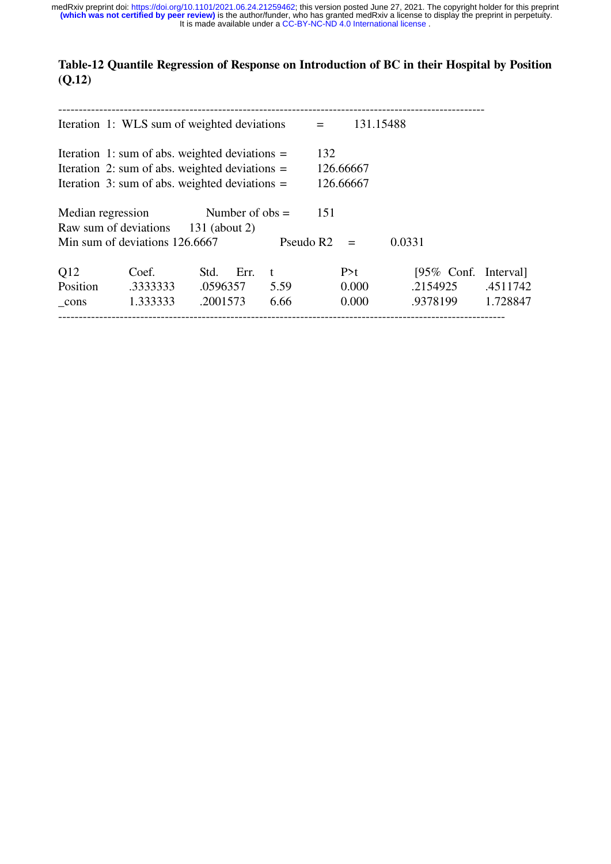# **Table-12 Quantile Regression of Response on Introduction of BC in their Hospital by Position (Q.12)**

|                                                  | Iteration 1: WLS sum of weighted deviations      |                   |      |                       | $=$       |           | 131.15488             |          |
|--------------------------------------------------|--------------------------------------------------|-------------------|------|-----------------------|-----------|-----------|-----------------------|----------|
|                                                  | Iteration 1: sum of abs. weighted deviations $=$ |                   |      |                       | 132       |           |                       |          |
| Iteration 2: sum of abs. weighted deviations $=$ |                                                  |                   |      |                       | 126.66667 |           |                       |          |
|                                                  | Iteration 3: sum of abs. weighted deviations $=$ |                   |      |                       |           | 126.66667 |                       |          |
| Median regression                                |                                                  | Number of $obs =$ |      |                       | 151       |           |                       |          |
|                                                  | Raw sum of deviations 131 (about 2)              |                   |      |                       |           |           |                       |          |
|                                                  | Min sum of deviations 126.6667                   |                   |      | Pseudo R <sub>2</sub> |           | $=$       | 0.0331                |          |
| Q12                                              | Coef.                                            | Std.              | Err. | $^{\rm t}$            |           | P > t     | [95\% Conf. Interval] |          |
| Position                                         | .3333333                                         | .0596357          |      | 5.59                  |           | 0.000     | .2154925              | .4511742 |
| $_{\rm cons}$                                    | 1.333333                                         | .2001573          |      | 6.66                  |           | 0.000     | .9378199              | 1.728847 |
|                                                  |                                                  |                   |      |                       |           |           |                       |          |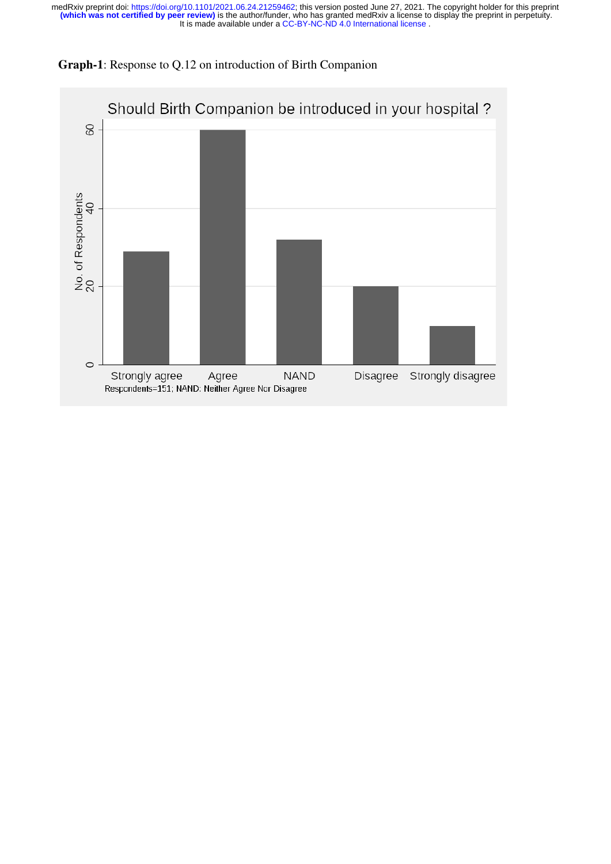

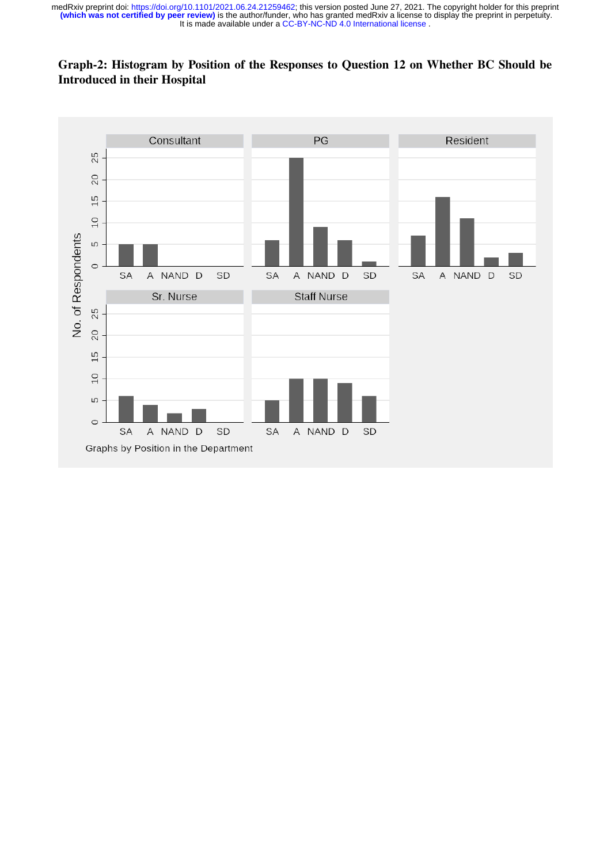# **Graph-2: Histogram by Position of the Responses to Question 12 on Whether BC Should be Introduced in their Hospital**

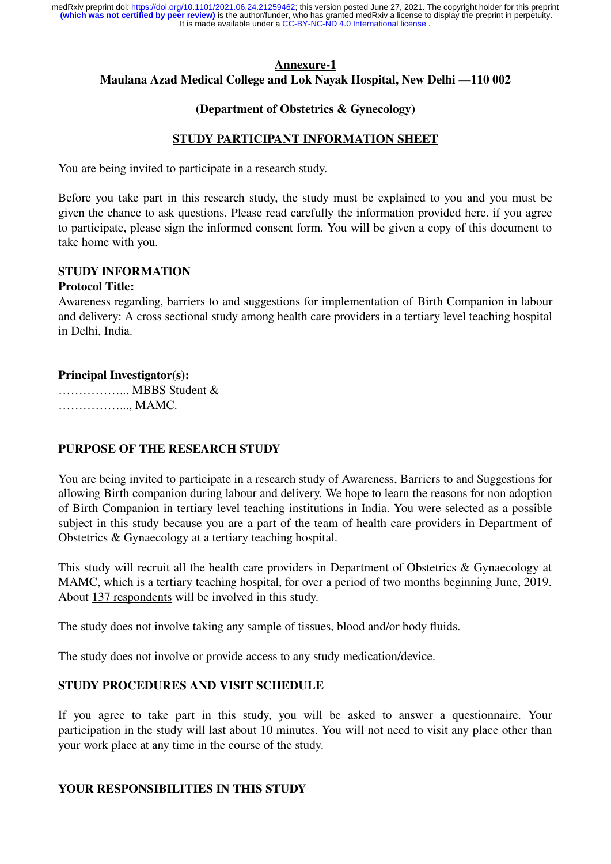## **Annexure-1 Maulana Azad Medical College and Lok Nayak Hospital, New Delhi —110 002**

#### **(Department of Obstetrics & Gynecology)**

#### **STUDY PARTICIPANT INFORMATION SHEET**

You are being invited to participate in a research study.

Before you take part in this research study, the study must be explained to you and you must be given the chance to ask questions. Please read carefully the information provided here. if you agree to participate, please sign the informed consent form. You will be given a copy of this document to take home with you.

#### **STUDY lNFORMATlON**

#### **Protocol Title:**

Awareness regarding, barriers to and suggestions for implementation of Birth Companion in labour and delivery: A cross sectional study among health care providers in a tertiary level teaching hospital in Delhi, India.

#### **Principal Investigator(s):**

……………... MBBS Student & ……………..., MAMC.

# **PURPOSE OF THE RESEARCH STUDY**

You are being invited to participate in a research study of Awareness, Barriers to and Suggestions for allowing Birth companion during labour and delivery. We hope to learn the reasons for non adoption of Birth Companion in tertiary level teaching institutions in India. You were selected as a possible subject in this study because you are a part of the team of health care providers in Department of Obstetrics & Gynaecology at a tertiary teaching hospital.

This study will recruit all the health care providers in Department of Obstetrics & Gynaecology at MAMC, which is a tertiary teaching hospital, for over a period of two months beginning June, 2019. About 137 respondents will be involved in this study.

The study does not involve taking any sample of tissues, blood and/or body fluids.

The study does not involve or provide access to any study medication/device.

# **STUDY PROCEDURES AND VISIT SCHEDULE**

If you agree to take part in this study, you will be asked to answer a questionnaire. Your participation in the study will last about 10 minutes. You will not need to visit any place other than your work place at any time in the course of the study.

#### **YOUR RESPONSIBILITIES IN THIS STUDY**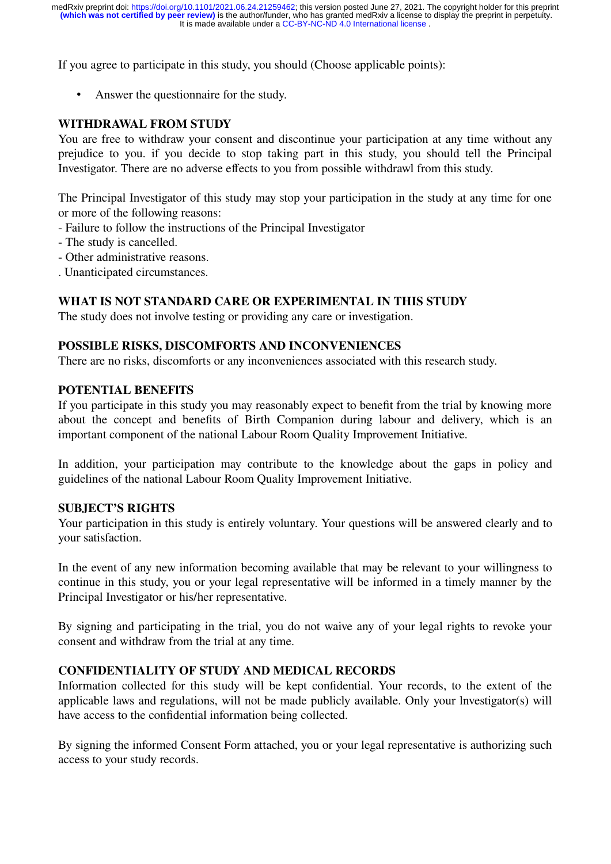If you agree to participate in this study, you should (Choose applicable points):

• Answer the questionnaire for the study.

# **WITHDRAWAL FROM STUDY**

You are free to withdraw your consent and discontinue your participation at any time without any prejudice to you. if you decide to stop taking part in this study, you should tell the Principal Investigator. There are no adverse effects to you from possible withdrawl from this study.

The Principal Investigator of this study may stop your participation in the study at any time for one or more of the following reasons:

- Failure to follow the instructions of the Principal Investigator
- The study is cancelled.
- Other administrative reasons.
- . Unanticipated circumstances.

# **WHAT IS NOT STANDARD CARE OR EXPERIMENTAL IN THIS STUDY**

The study does not involve testing or providing any care or investigation.

## **POSSIBLE RISKS, DISCOMFORTS AND INCONVENIENCES**

There are no risks, discomforts or any inconveniences associated with this research study.

## **POTENTIAL BENEFlTS**

If you participate in this study you may reasonably expect to benefit from the trial by knowing more about the concept and benefits of Birth Companion during labour and delivery, which is an important component of the national Labour Room Quality Improvement Initiative.

In addition, your participation may contribute to the knowledge about the gaps in policy and guidelines of the national Labour Room Quality Improvement Initiative.

# **SUBJECT'S RIGHTS**

Your participation in this study is entirely voluntary. Your questions will be answered clearly and to your satisfaction.

In the event of any new information becoming available that may be relevant to your willingness to continue in this study, you or your legal representative will be informed in a timely manner by the Principal Investigator or his/her representative.

By signing and participating in the trial, you do not waive any of your legal rights to revoke your consent and withdraw from the trial at any time.

# **CONFIDENTIALITY OF STUDY AND MEDICAL RECORDS**

Information collected for this study will be kept confidential. Your records, to the extent of the applicable laws and regulations, will not be made publicly available. Only your lnvestigator(s) will have access to the confidential information being collected.

By signing the informed Consent Form attached, you or your legal representative is authorizing such access to your study records.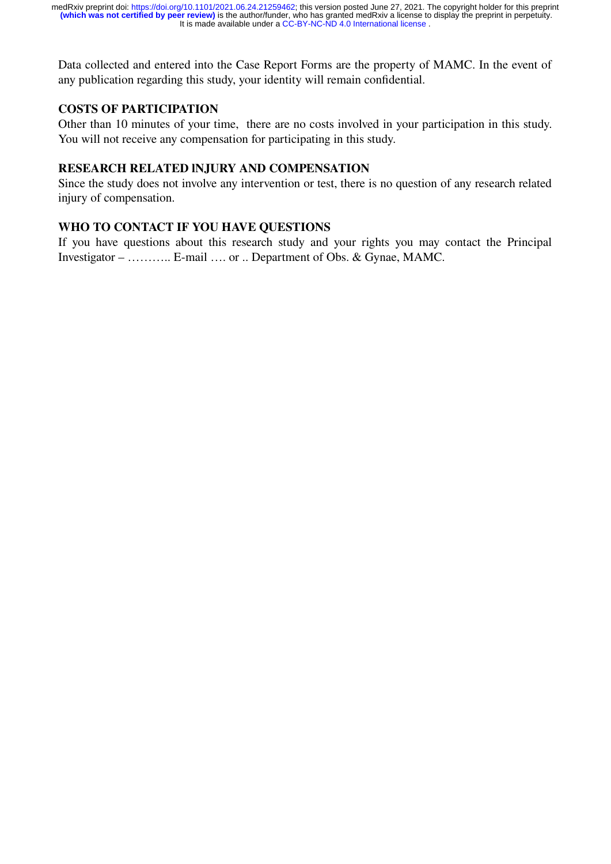Data collected and entered into the Case Report Forms are the property of MAMC. In the event of any publication regarding this study, your identity will remain confidential.

# **COSTS OF PARTICIPATION**

Other than 10 minutes of your time, there are no costs involved in your participation in this study. You will not receive any compensation for participating in this study.

#### **RESEARCH RELATED lNJURY AND COMPENSATION**

Since the study does not involve any intervention or test, there is no question of any research related injury of compensation.

# **WHO TO CONTACT IF YOU HAVE QUESTIONS**

If you have questions about this research study and your rights you may contact the Principal Investigator – ……….. E-mail …. or .. Department of Obs. & Gynae, MAMC.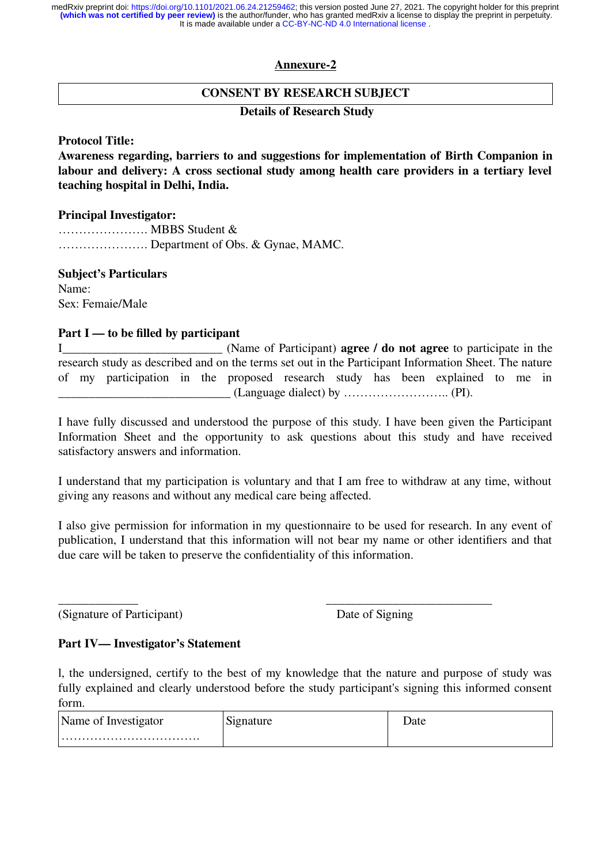#### **Annexure-2**

## **CONSENT BY RESEARCH SUBJECT**

#### **Details of Research Study**

#### **Protocol Title:**

**Awareness regarding, barriers to and suggestions for implementation of Birth Companion in labour and delivery: A cross sectional study among health care providers in a tertiary level teaching hospital in Delhi, India.**

#### **Principal Investigator:**

…………………. MBBS Student & …………………. Department of Obs. & Gynae, MAMC.

#### **Subject's Particulars**

Name: Sex: Femaie/Male

#### **Part I — to be filled by participant**

I<br>I Chame of Participant) **agree / do not agree** to participate in the research study as described and on the terms set out in the Participant Information Sheet. The nature of my participation in the proposed research study has been explained to me in  $(Language dialect) by …………… (PI).$ 

I have fully discussed and understood the purpose of this study. I have been given the Participant Information Sheet and the opportunity to ask questions about this study and have received satisfactory answers and information.

I understand that my participation is voluntary and that I am free to withdraw at any time, without giving any reasons and without any medical care being affected.

I also give permission for information in my questionnaire to be used for research. In any event of publication, I understand that this information will not bear my name or other identifiers and that due care will be taken to preserve the confidentiality of this information.

\_\_\_\_\_\_\_\_\_\_\_\_\_ \_\_\_\_\_\_\_\_\_\_\_\_\_\_\_\_\_\_\_\_\_\_\_\_\_\_\_ (Signature of Participant) Date of Signing

# **Part IV— Investigator's Statement**

l, the undersigned, certify to the best of my knowledge that the nature and purpose of study was fully explained and clearly understood before the study participant's signing this informed consent form.

| Name of Investigator | ∿∩f⊾<br>au |
|----------------------|------------|
|                      |            |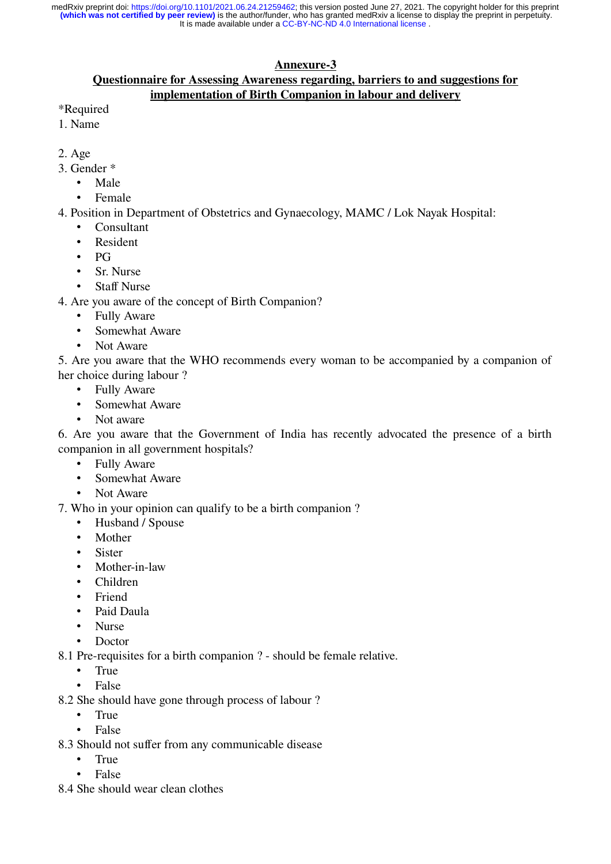# **Annexure-3**

#### **Questionnaire for Assessing Awareness regarding, barriers to and suggestions for implementation of Birth Companion in labour and delivery**

- \*Required
- 1. Name
- 2. Age
- 3. Gender \*
	- Male
	- **Female**
- 4. Position in Department of Obstetrics and Gynaecology, MAMC / Lok Nayak Hospital:
	- Consultant
	- **Resident**
	- PG
	- Sr. Nurse
	- **Staff Nurse**
- 4. Are you aware of the concept of Birth Companion?
	- **Fully Aware**
	- Somewhat Aware
	- Not Aware

5. Are you aware that the WHO recommends every woman to be accompanied by a companion of her choice during labour ?

- Fully Aware
- Somewhat Aware
- Not aware

6. Are you aware that the Government of India has recently advocated the presence of a birth companion in all government hospitals?

- Fully Aware
- Somewhat Aware
- Not Aware

7. Who in your opinion can qualify to be a birth companion ?

- Husband / Spouse
- Mother
- Sister
- Mother-in-law
- Children
- Friend
- Paid Daula
- Nurse
- Doctor
- 8.1 Pre-requisites for a birth companion ? should be female relative.
	- True
	- False
- 8.2 She should have gone through process of labour ?
	- True
	- False
- 8.3 Should not suffer from any communicable disease
	- True
	- False
- 8.4 She should wear clean clothes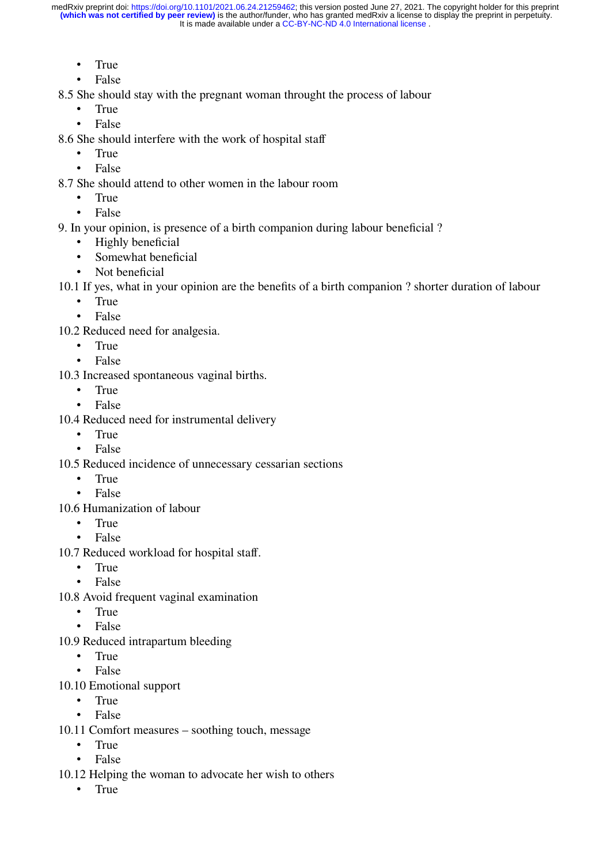- True
- False

8.5 She should stay with the pregnant woman throught the process of labour

- True
- False
- 8.6 She should interfere with the work of hospital staff
	- True
	- False

8.7 She should attend to other women in the labour room

- True
- False
- 9. In your opinion, is presence of a birth companion during labour beneficial ?
	- Highly beneficial
	- Somewhat beneficial
	- Not beneficial
- 10.1 If yes, what in your opinion are the benefits of a birth companion ? shorter duration of labour
	- True
	- False
- 10.2 Reduced need for analgesia.
	- True
	- False
- 10.3 Increased spontaneous vaginal births.
	- True
	- False
- 10.4 Reduced need for instrumental delivery
	- True
	- False
- 10.5 Reduced incidence of unnecessary cessarian sections
	- True
	- False
- 10.6 Humanization of labour
	- True
	- False
- 10.7 Reduced workload for hospital staff.
	- True
	- False
- 10.8 Avoid frequent vaginal examination
	- True
	- False
- 10.9 Reduced intrapartum bleeding
	- True
	- False
- 10.10 Emotional support
	- True
	- False
- 10.11 Comfort measures soothing touch, message
	- True
	- False
- 10.12 Helping the woman to advocate her wish to others
	- True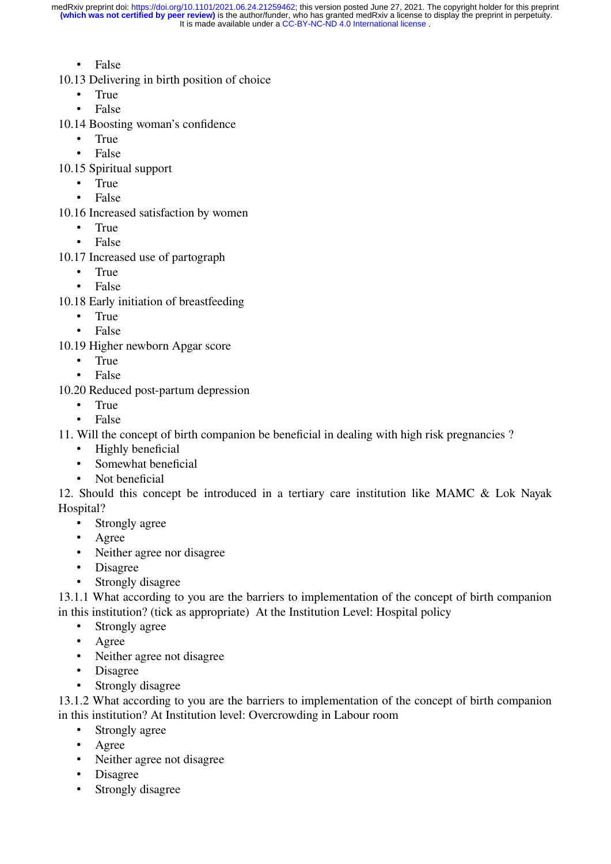- False
- 10.13 Delivering in birth position of choice
	- True
	- False
- 10.14 Boosting woman's confidence
	- True
	- False
- 10.15 Spiritual support
	- True
	- False
- 10.16 Increased satisfaction by women
	- True
	- False
- 10.17 Increased use of partograph
	- True
	- False
- 10.18 Early initiation of breastfeeding
	- True
	- False
- 10.19 Higher newborn Apgar score
	- True<br>• False
	- False
- 10.20 Reduced post-partum depression
	- True
	- False

11. Will the concept of birth companion be beneficial in dealing with high risk pregnancies ?

- Highly beneficial
- Somewhat beneficial
- Not beneficial

12. Should this concept be introduced in a tertiary care institution like MAMC & Lok Nayak Hospital?

- Strongly agree
- Agree
- Neither agree nor disagree
- Disagree
- Strongly disagree

13.1.1 What according to you are the barriers to implementation of the concept of birth companion in this institution? (tick as appropriate) At the Institution Level: Hospital policy

- Strongly agree
- Agree
- Neither agree not disagree
- Disagree
- Strongly disagree

13.1.2 What according to you are the barriers to implementation of the concept of birth companion in this institution? At Institution level: Overcrowding in Labour room

- Strongly agree
- Agree
- Neither agree not disagree
- Disagree
- Strongly disagree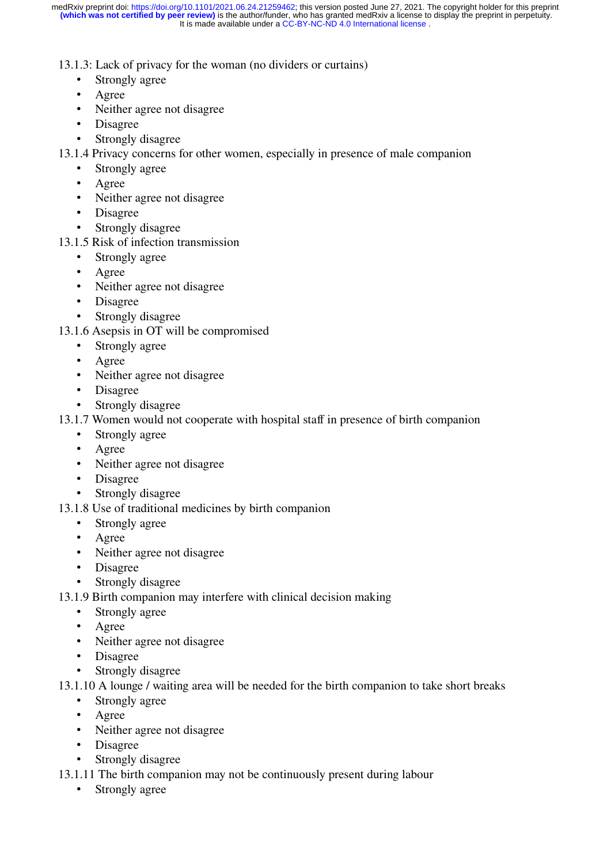13.1.3: Lack of privacy for the woman (no dividers or curtains)

- Strongly agree
- Agree<br>• Neithe
- Neither agree not disagree
- Disagree
- Strongly disagree

13.1.4 Privacy concerns for other women, especially in presence of male companion

- Strongly agree
- Agree
- Neither agree not disagree
- Disagree
- Strongly disagree
- 13.1.5 Risk of infection transmission
	- Strongly agree
	- Agree
	- Neither agree not disagree
	- Disagree
	- Strongly disagree
- 13.1.6 Asepsis in OT will be compromised
	- Strongly agree
	- Agree
	- Neither agree not disagree
	- Disagree
	- Strongly disagree
- 13.1.7 Women would not cooperate with hospital staff in presence of birth companion
	- Strongly agree
	- Agree
	- Neither agree not disagree
	- Disagree
	- Strongly disagree
- 13.1.8 Use of traditional medicines by birth companion
	- Strongly agree
	- Agree
	- Neither agree not disagree
	- Disagree
	- Strongly disagree
- 13.1.9 Birth companion may interfere with clinical decision making
	- Strongly agree
	- Agree
	- Neither agree not disagree
	- Disagree
	- Strongly disagree
- 13.1.10 A lounge / waiting area will be needed for the birth companion to take short breaks
	- Strongly agree
	- Agree
	- Neither agree not disagree
	- Disagree
	- Strongly disagree
- 13.1.11 The birth companion may not be continuously present during labour
	- Strongly agree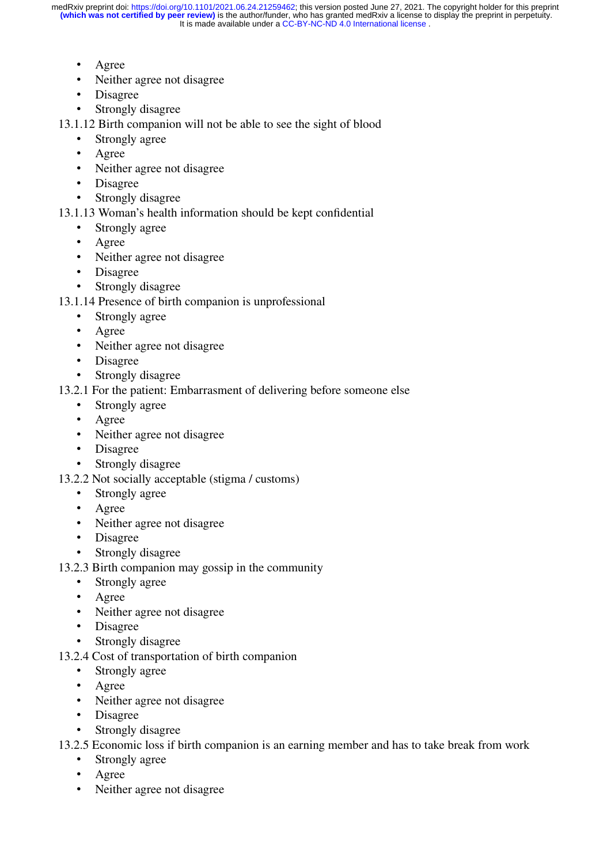- Agree
- Neither agree not disagree
- Disagree
- Strongly disagree

13.1.12 Birth companion will not be able to see the sight of blood

- Strongly agree
- Agree
- Neither agree not disagree
- Disagree
- Strongly disagree
- 13.1.13 Woman's health information should be kept confidential
	- Strongly agree
	- Agree
	- Neither agree not disagree
	- Disagree
	- Strongly disagree
- 13.1.14 Presence of birth companion is unprofessional
	- Strongly agree
	- Agree
	- Neither agree not disagree
	- Disagree
	- Strongly disagree
- 13.2.1 For the patient: Embarrasment of delivering before someone else
	- Strongly agree
	- Agree
	- Neither agree not disagree
	- Disagree
	- Strongly disagree
- 13.2.2 Not socially acceptable (stigma / customs)
	- Strongly agree
	- Agree
	- Neither agree not disagree
	- Disagree
	- Strongly disagree
- 13.2.3 Birth companion may gossip in the community
	- Strongly agree
	- Agree
	- Neither agree not disagree
	- Disagree
	- Strongly disagree
- 13.2.4 Cost of transportation of birth companion
	- Strongly agree
	- Agree
	- Neither agree not disagree
	- Disagree
	- Strongly disagree

13.2.5 Economic loss if birth companion is an earning member and has to take break from work

- Strongly agree
- Agree
- Neither agree not disagree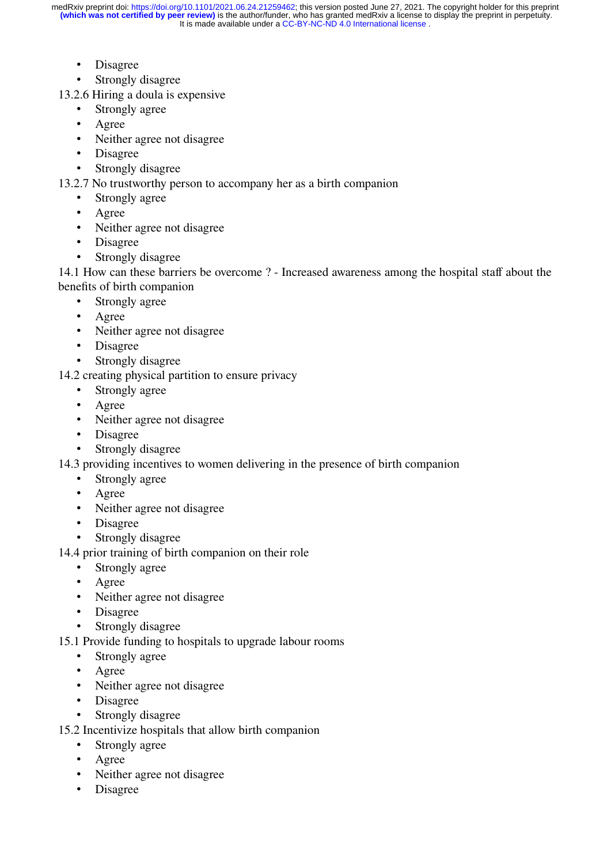- Disagree
- Strongly disagree

13.2.6 Hiring a doula is expensive

- Strongly agree
- Agree
- Neither agree not disagree
- Disagree
- Strongly disagree

13.2.7 No trustworthy person to accompany her as a birth companion

- Strongly agree
- Agree
- Neither agree not disagree
- Disagree
- Strongly disagree

14.1 How can these barriers be overcome ? - Increased awareness among the hospital staff about the benefits of birth companion

- Strongly agree
- Agree
- Neither agree not disagree
- Disagree
- Strongly disagree
- 14.2 creating physical partition to ensure privacy
	- Strongly agree
	- Agree
	- Neither agree not disagree
	- Disagree
	- Strongly disagree
- 14.3 providing incentives to women delivering in the presence of birth companion
	- Strongly agree
	- Agree
	- Neither agree not disagree
	- Disagree
	- Strongly disagree
- 14.4 prior training of birth companion on their role
	- Strongly agree
	- Agree
	- Neither agree not disagree
	- Disagree
	- Strongly disagree
- 15.1 Provide funding to hospitals to upgrade labour rooms
	- Strongly agree
	- Agree
	- Neither agree not disagree
	- Disagree
	- Strongly disagree
- 15.2 Incentivize hospitals that allow birth companion
	- Strongly agree
	- Agree
	- Neither agree not disagree
	- Disagree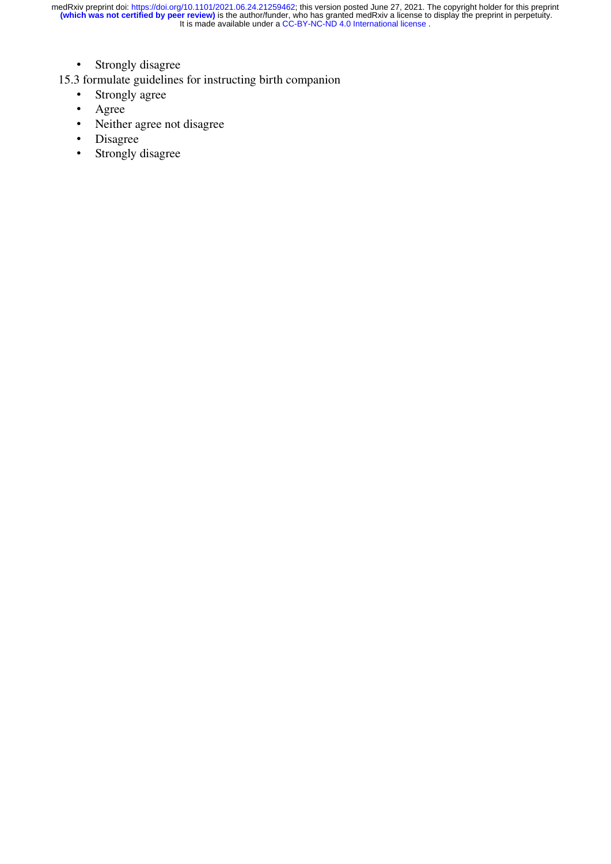- Strongly disagree
- 15.3 formulate guidelines for instructing birth companion
	- Strongly agree<br>• Agree
	- Agree
	- Neither agree not disagree
	- Disagree<br>• Strongly
	- Strongly disagree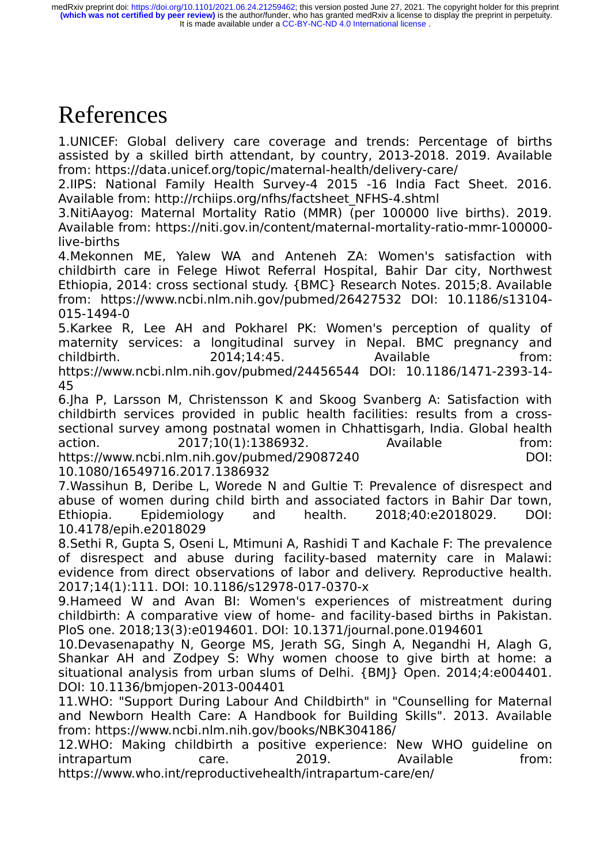# References

1.UNICEF: Global delivery care coverage and trends: Percentage of births assisted by a skilled birth attendant, by country, 2013-2018. 2019. Available from: https://data.unicef.org/topic/maternal-health/delivery-care/

2.IIPS: National Family Health Survey-4 2015 -16 India Fact Sheet. 2016. Available from: http://rchiips.org/nfhs/factsheet\_NFHS-4.shtml

3.NitiAayog: Maternal Mortality Ratio (MMR) (per 100000 live births). 2019. Available from: https://niti.gov.in/content/maternal-mortality-ratio-mmr-100000 live-births

4.Mekonnen ME, Yalew WA and Anteneh ZA: Women's satisfaction with childbirth care in Felege Hiwot Referral Hospital, Bahir Dar city, Northwest Ethiopia, 2014: cross sectional study. {BMC} Research Notes. 2015;8. Available from: https://www.ncbi.nlm.nih.gov/pubmed/26427532 DOI: 10.1186/s13104- 015-1494-0

5.Karkee R, Lee AH and Pokharel PK: Women's perception of quality of maternity services: a longitudinal survey in Nepal. BMC pregnancy and childbirth. 2014;14:45. Available from: https://www.ncbi.nlm.nih.gov/pubmed/24456544 DOI: 10.1186/1471-2393-14- 45

6.Jha P, Larsson M, Christensson K and Skoog Svanberg A: Satisfaction with childbirth services provided in public health facilities: results from a crosssectional survey among postnatal women in Chhattisgarh, India. Global health action. 2017;10(1):1386932. Available from: https://www.ncbi.nlm.nih.gov/pubmed/29087240

10.1080/16549716.2017.1386932

7.Wassihun B, Deribe L, Worede N and Gultie T: Prevalence of disrespect and abuse of women during child birth and associated factors in Bahir Dar town, Ethiopia. Epidemiology and health. 2018;40:e2018029. DOI: 10.4178/epih.e2018029

8.Sethi R, Gupta S, Oseni L, Mtimuni A, Rashidi T and Kachale F: The prevalence of disrespect and abuse during facility-based maternity care in Malawi: evidence from direct observations of labor and delivery. Reproductive health. 2017;14(1):111. DOI: 10.1186/s12978-017-0370-x

9.Hameed W and Avan BI: Women's experiences of mistreatment during childbirth: A comparative view of home- and facility-based births in Pakistan. PloS one. 2018;13(3):e0194601. DOI: 10.1371/journal.pone.0194601

10.Devasenapathy N, George MS, Jerath SG, Singh A, Negandhi H, Alagh G, Shankar AH and Zodpey S: Why women choose to give birth at home: a situational analysis from urban slums of Delhi. {BMJ} Open. 2014;4:e004401. DOI: 10.1136/bmjopen-2013-004401

11.WHO: "Support During Labour And Childbirth" in "Counselling for Maternal and Newborn Health Care: A Handbook for Building Skills". 2013. Available from: https://www.ncbi.nlm.nih.gov/books/NBK304186/

12.WHO: Making childbirth a positive experience: New WHO guideline on intrapartum care. 2019. Available from: https://www.who.int/reproductivehealth/intrapartum-care/en/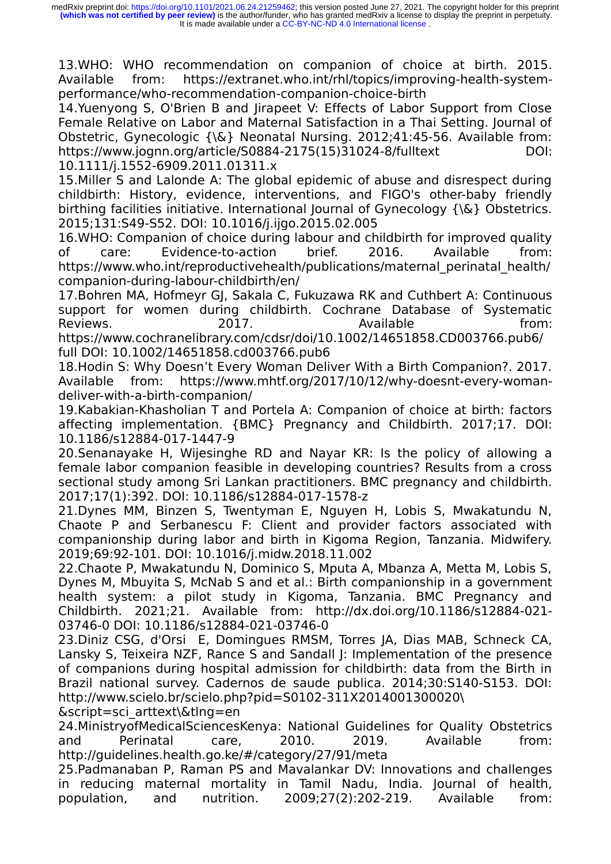13.WHO: WHO recommendation on companion of choice at birth. 2015. Available from: https://extranet.who.int/rhl/topics/improving-health-systemperformance/who-recommendation-companion-choice-birth

14.Yuenyong S, O'Brien B and Jirapeet V: Effects of Labor Support from Close Female Relative on Labor and Maternal Satisfaction in a Thai Setting. Journal of Obstetric, Gynecologic {\&} Neonatal Nursing. 2012;41:45-56. Available from: https://www.jognn.org/article/S0884-2175(15)31024-8/fulltext DOI: 10.1111/j.1552-6909.2011.01311.x

15.Miller S and Lalonde A: The global epidemic of abuse and disrespect during childbirth: History, evidence, interventions, and FIGO's other-baby friendly birthing facilities initiative. International Journal of Gynecology {\&} Obstetrics. 2015;131:S49-S52. DOI: 10.1016/j.ijgo.2015.02.005

16.WHO: Companion of choice during labour and childbirth for improved quality of care: Evidence-to-action brief. 2016. Available from: https://www.who.int/reproductivehealth/publications/maternal\_perinatal\_health/ companion-during-labour-childbirth/en/

17.Bohren MA, Hofmeyr GJ, Sakala C, Fukuzawa RK and Cuthbert A: Continuous support for women during childbirth. Cochrane Database of Systematic Reviews. 2017. Available from:

https://www.cochranelibrary.com/cdsr/doi/10.1002/14651858.CD003766.pub6/ full DOI: 10.1002/14651858.cd003766.pub6

18.Hodin S: Why Doesn't Every Woman Deliver With a Birth Companion?. 2017. Available from: https://www.mhtf.org/2017/10/12/why-doesnt-every-womandeliver-with-a-birth-companion/

19.Kabakian-Khasholian T and Portela A: Companion of choice at birth: factors affecting implementation. {BMC} Pregnancy and Childbirth. 2017;17. DOI: 10.1186/s12884-017-1447-9

20.Senanayake H, Wijesinghe RD and Nayar KR: Is the policy of allowing a female labor companion feasible in developing countries? Results from a cross sectional study among Sri Lankan practitioners. BMC pregnancy and childbirth. 2017;17(1):392. DOI: 10.1186/s12884-017-1578-z

21.Dynes MM, Binzen S, Twentyman E, Nguyen H, Lobis S, Mwakatundu N, Chaote P and Serbanescu F: Client and provider factors associated with companionship during labor and birth in Kigoma Region, Tanzania. Midwifery. 2019;69:92-101. DOI: 10.1016/j.midw.2018.11.002

22.Chaote P, Mwakatundu N, Dominico S, Mputa A, Mbanza A, Metta M, Lobis S, Dynes M, Mbuyita S, McNab S and et al.: Birth companionship in a government health system: a pilot study in Kigoma, Tanzania. BMC Pregnancy and Childbirth. 2021;21. Available from: http://dx.doi.org/10.1186/s12884-021- 03746-0 DOI: 10.1186/s12884-021-03746-0

23.Diniz CSG, d'Orsi E, Domingues RMSM, Torres JA, Dias MAB, Schneck CA, Lansky S, Teixeira NZF, Rance S and Sandall J: Implementation of the presence of companions during hospital admission for childbirth: data from the Birth in Brazil national survey. Cadernos de saude publica. 2014;30:S140-S153. DOI: http://www.scielo.br/scielo.php?pid=S0102-311X2014001300020\

&script=sci\_arttext\&tlng=en

24.MinistryofMedicalSciencesKenya: National Guidelines for Quality Obstetrics and Perinatal care, 2010. 2019. Available from: http://guidelines.health.go.ke/#/category/27/91/meta

25.Padmanaban P, Raman PS and Mavalankar DV: Innovations and challenges in reducing maternal mortality in Tamil Nadu, India. Journal of health, population, and nutrition. 2009;27(2):202-219. Available from: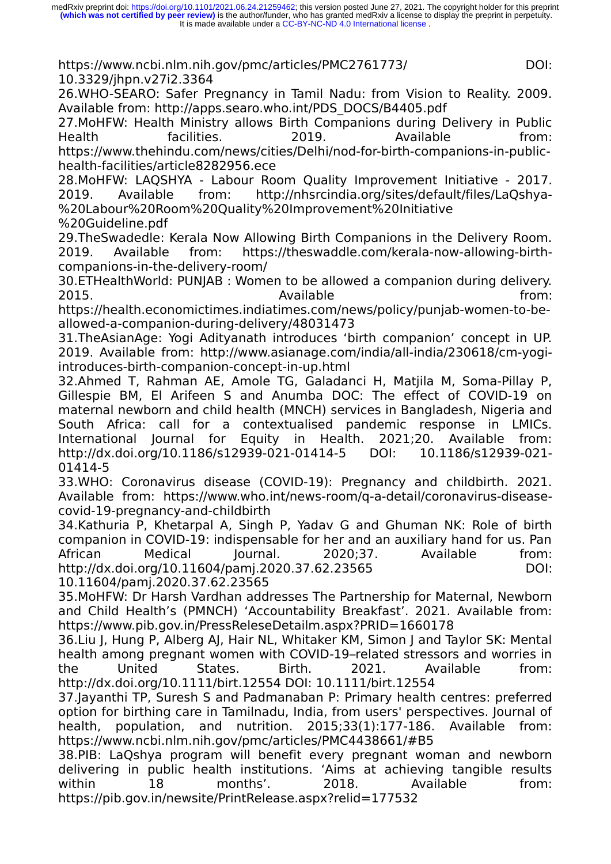https://www.ncbi.nlm.nih.gov/pmc/articles/PMC2761773/ 10.3329/jhpn.v27i2.3364

26.WHO-SEARO: Safer Pregnancy in Tamil Nadu: from Vision to Reality. 2009. Available from: http://apps.searo.who.int/PDS\_DOCS/B4405.pdf

27.MoHFW: Health Ministry allows Birth Companions during Delivery in Public Health facilities. 2019. Available from: https://www.thehindu.com/news/cities/Delhi/nod-for-birth-companions-in-publichealth-facilities/article8282956.ece

28.MoHFW: LAQSHYA - Labour Room Quality Improvement Initiative - 2017. 2019. Available from: http://nhsrcindia.org/sites/default/files/LaQshya- %20Labour%20Room%20Quality%20Improvement%20Initiative

%20Guideline.pdf

29.TheSwadedle: Kerala Now Allowing Birth Companions in the Delivery Room. 2019. Available from: https://theswaddle.com/kerala-now-allowing-birthcompanions-in-the-delivery-room/

30.ETHealthWorld: PUNJAB : Women to be allowed a companion during delivery. 2015. Available from:

https://health.economictimes.indiatimes.com/news/policy/punjab-women-to-beallowed-a-companion-during-delivery/48031473

31.TheAsianAge: Yogi Adityanath introduces 'birth companion' concept in UP. 2019. Available from: http://www.asianage.com/india/all-india/230618/cm-yogiintroduces-birth-companion-concept-in-up.html

32.Ahmed T, Rahman AE, Amole TG, Galadanci H, Matjila M, Soma-Pillay P, Gillespie BM, El Arifeen S and Anumba DOC: The effect of COVID-19 on maternal newborn and child health (MNCH) services in Bangladesh, Nigeria and South Africa: call for a contextualised pandemic response in LMICs. International Journal for Equity in Health. 2021;20. Available from: http://dx.doi.org/10.1186/s12939-021-01414-5 DOI: 10.1186/s12939-021-01414-5

33.WHO: Coronavirus disease (COVID-19): Pregnancy and childbirth. 2021. Available from: https://www.who.int/news-room/q-a-detail/coronavirus-diseasecovid-19-pregnancy-and-childbirth

34.Kathuria P, Khetarpal A, Singh P, Yadav G and Ghuman NK: Role of birth companion in COVID-19: indispensable for her and an auxiliary hand for us. Pan African Medical Journal. 2020;37. Available from: http://dx.doi.org/10.11604/pamj.2020.37.62.23565 10.11604/pamj.2020.37.62.23565

35.MoHFW: Dr Harsh Vardhan addresses The Partnership for Maternal, Newborn and Child Health's (PMNCH) 'Accountability Breakfast'. 2021. Available from: https://www.pib.gov.in/PressReleseDetailm.aspx?PRID=1660178

36.Liu J, Hung P, Alberg AJ, Hair NL, Whitaker KM, Simon J and Taylor SK: Mental health among pregnant women with COVID-19-related stressors and worries in the United States. Birth. 2021. Available from: http://dx.doi.org/10.1111/birt.12554 DOI: 10.1111/birt.12554

37.Jayanthi TP, Suresh S and Padmanaban P: Primary health centres: preferred option for birthing care in Tamilnadu, India, from users' perspectives. Journal of health, population, and nutrition. 2015;33(1):177-186. Available from: https://www.ncbi.nlm.nih.gov/pmc/articles/PMC4438661/#B5

38.PIB: LaQshya program will benefit every pregnant woman and newborn delivering in public health institutions. 'Aims at achieving tangible results within 18 months'. 2018. Available from: https://pib.gov.in/newsite/PrintRelease.aspx?relid=177532